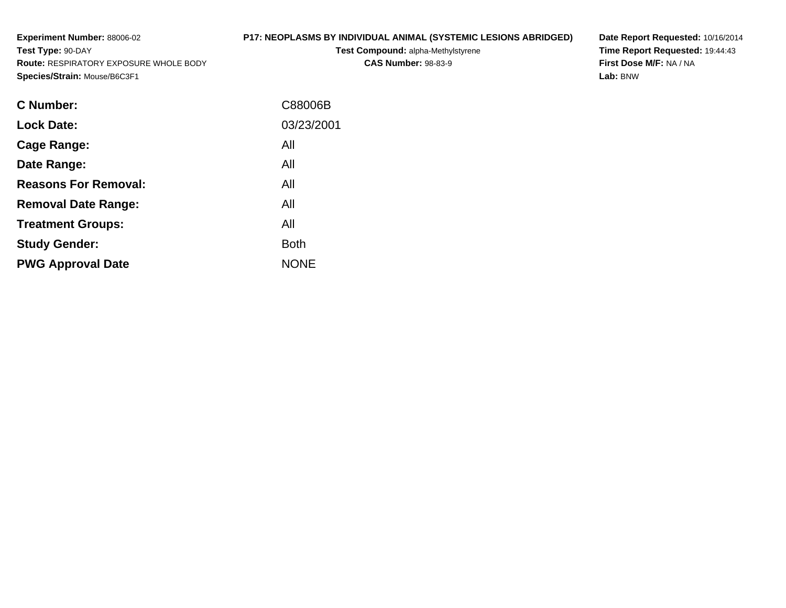**Experiment Number:** 88006-02**Test Type:** 90-DAY **Route:** RESPIRATORY EXPOSURE WHOLE BODY**Species/Strain:** Mouse/B6C3F1

# **P17: NEOPLASMS BY INDIVIDUAL ANIMAL (SYSTEMIC LESIONS ABRIDGED)**

**Test Compound:** alpha-Methylstyrene**CAS Number:** 98-83-9

**Date Report Requested:** 10/16/2014 **Time Report Requested:** 19:44:43**First Dose M/F:** NA / NA**Lab:** BNW

| C88006B     |
|-------------|
| 03/23/2001  |
| All         |
| All         |
| All         |
| All         |
| All         |
| <b>Both</b> |
| <b>NONE</b> |
|             |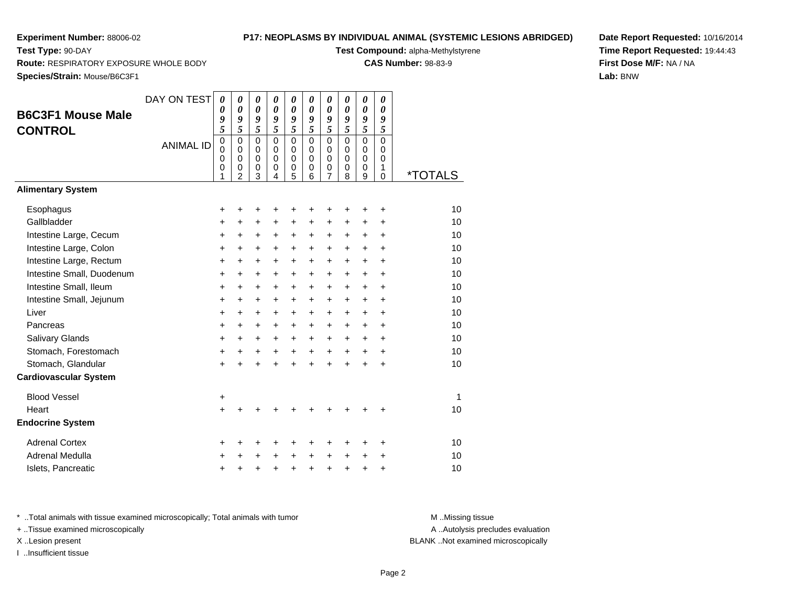**CONTROL**

## **P17: NEOPLASMS BY INDIVIDUAL ANIMAL (SYSTEMIC LESIONS ABRIDGED)**

| Test Type: 90-DAY                                                             | Test Compound: alpha-Methylstyrene |             |               |        |        |          |          |        |        |        |          |                            |  |
|-------------------------------------------------------------------------------|------------------------------------|-------------|---------------|--------|--------|----------|----------|--------|--------|--------|----------|----------------------------|--|
| <b>Route: RESPIRATORY EXPOSURE WHOLE BODY</b><br>Species/Strain: Mouse/B6C3F1 |                                    |             |               |        |        |          |          |        |        |        |          | <b>CAS Number: 98-83-9</b> |  |
|                                                                               |                                    |             |               |        |        |          |          |        |        |        |          |                            |  |
|                                                                               | DAY ON TEST                        | 0           | $\theta$      | 0      | 0      | $\theta$ | 0        | 0      | 0      | 0      | 0        |                            |  |
| <b>B6C3F1 Mouse Male</b>                                                      |                                    | 9           | 0<br>9        | 0<br>9 | 0<br>9 | 0<br>9   | 9        | 0<br>9 | 9      | 0<br>9 | 0<br>9   |                            |  |
| <b>CONTROL</b>                                                                |                                    | 5           | 5             | 5      | 5      | 5        | 5        | 5      | 5      | 5      | 5        |                            |  |
|                                                                               | <b>ANIMAL ID</b>                   | $\mathbf 0$ | 0             | 0      | 0      | $\Omega$ | $\Omega$ | 0      | 0      | 0      | 0        |                            |  |
|                                                                               |                                    | 0           | $\Omega$<br>0 | 0      | 0<br>0 | 0<br>0   | 0<br>0   | 0<br>0 | 0<br>0 | 0<br>0 | 0<br>0   |                            |  |
|                                                                               |                                    | 0           | 0             | 0      | 0      | 0        | 0        | 0      | 0      | 0      |          | <i><b>*TOTALS</b></i>      |  |
|                                                                               |                                    |             | 2             |        |        |          | 6        |        | 8      | 9      | $\Omega$ |                            |  |
| <b>Alimentary System</b>                                                      |                                    |             |               |        |        |          |          |        |        |        |          |                            |  |
| Esophagus                                                                     |                                    |             |               |        |        |          |          |        |        |        |          | 10                         |  |
| Gallbladder                                                                   |                                    |             |               |        |        |          |          |        |        |        |          | 10                         |  |
| Intestine Large, Cecum                                                        |                                    |             |               |        | ٠      |          |          |        |        |        | ÷        | 10                         |  |
| Intestine Large, Colon                                                        |                                    |             |               |        |        |          |          |        |        |        | ÷        | 10                         |  |
| Intestine Large, Rectum                                                       |                                    |             |               |        |        |          |          |        |        |        | $\pm$    | 10                         |  |
| Intestine Small, Duodenum                                                     |                                    |             |               |        |        |          |          |        |        |        | ÷        | 10                         |  |
| Intestine Small, Ileum                                                        |                                    |             |               |        |        |          |          |        |        |        | $\div$   | 10                         |  |
| Intestine Small, Jejunum                                                      |                                    |             |               |        |        |          |          |        |        |        |          | 10                         |  |
| Liver                                                                         |                                    |             |               |        |        |          |          |        |        |        |          | 10                         |  |
|                                                                               |                                    |             |               |        |        |          |          |        |        |        |          |                            |  |

| Intestine Small, Jejunum     | ÷         | +     | ٠         | ٠         | ٠         | ٠         | +         | +         | ٠         | ٠         | 10 |
|------------------------------|-----------|-------|-----------|-----------|-----------|-----------|-----------|-----------|-----------|-----------|----|
| Liver                        | $\ddot{}$ | $\pm$ | $\ddot{}$ | $\ddot{}$ | $\ddot{}$ | $+$       | $\ddot{}$ | $\ddot{}$ | $\ddot{}$ | $\ddot{}$ | 10 |
| Pancreas                     | $\pm$     | $\pm$ | +         | $\pm$     | $\pm$     | $\pm$     | $\pm$     | $\pm$     | +         | $\ddot{}$ | 10 |
| <b>Salivary Glands</b>       | $\ddot{}$ | $\pm$ | $\ddot{}$ | $+$       | $\ddot{}$ | $+$       | $\ddot{}$ | $+$       | $\ddot{}$ | $\ddot{}$ | 10 |
| Stomach, Forestomach         | $\ddot{}$ | $\pm$ | $\ddot{}$ | $\ddot{}$ | $\ddot{}$ | $\ddot{}$ | $\ddot{}$ | $\ddot{}$ | $\ddot{}$ | $\ddot{}$ | 10 |
| Stomach, Glandular           | +         | +     | +         | $\ddot{}$ | $\ddot{}$ | $\ddot{}$ | $\ddot{}$ | $\ddot{}$ | +         | $\ddot{}$ | 10 |
| <b>Cardiovascular System</b> |           |       |           |           |           |           |           |           |           |           |    |
| <b>Blood Vessel</b>          | $\ddot{}$ |       |           |           |           |           |           |           |           |           | 1  |
| Heart                        | $\ddot{}$ | +     |           | +         | ÷         | ÷         | ÷         | +         | +         | ÷         | 10 |
| <b>Endocrine System</b>      |           |       |           |           |           |           |           |           |           |           |    |
| <b>Adrenal Cortex</b>        | ÷         | +     | +         | ٠         | +         | ٠         | ٠         | +         | ٠         | ٠         | 10 |
| <b>Adrenal Medulla</b>       | $\ddot{}$ | +     | +         | $\ddot{}$ | $\ddot{}$ | $\ddot{}$ | $\ddot{}$ | $\ddot{}$ | $\ddot{}$ | $\ddot{}$ | 10 |
| Islets, Pancreatic           | $\ddot{}$ | +     | ÷         | +         | $\ddot{}$ | +         | $\ddot{}$ | $\div$    | +         | $\ddot{}$ | 10 |
|                              |           |       |           |           |           |           |           |           |           |           |    |

\* ..Total animals with tissue examined microscopically; Total animals with tumor **M** ..Missing tissue M ..Missing tissue

+ ..Tissue examined microscopically

I ..Insufficient tissue

A .. Autolysis precludes evaluation X ..Lesion present BLANK ..Not examined microscopically

**Date Report Requested:** 10/16/2014**Time Report Requested:** 19:44:43**First Dose M/F:** NA / NA**Lab:** BNW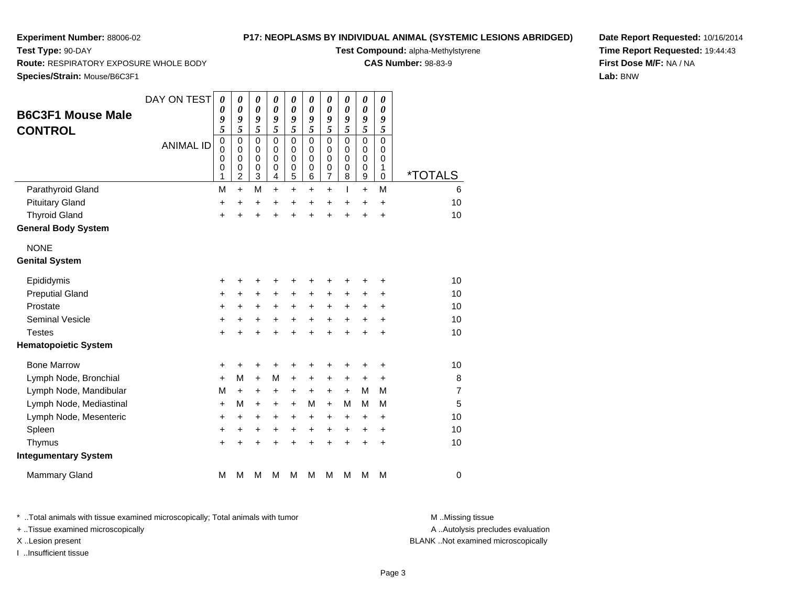**Test Type:** 90-DAY

## **P17: NEOPLASMS BY INDIVIDUAL ANIMAL (SYSTEMIC LESIONS ABRIDGED)**

**Test Compound:** alpha-Methylstyrene

**CAS Number:** 98-83-9

**Date Report Requested:** 10/16/2014**Time Report Requested:** 19:44:43**First Dose M/F:** NA / NA**Lab:** BNW

**Route:** RESPIRATORY EXPOSURE WHOLE BODY

**Species/Strain:** Mouse/B6C3F1

| <b>B6C3F1 Mouse Male</b>    | DAY ON TEST      | 0<br>0                          | 0<br>$\boldsymbol{\theta}$                                       | 0<br>$\boldsymbol{\theta}$                | 0<br>$\boldsymbol{\theta}$                    | 0<br>$\boldsymbol{\theta}$                          | $\pmb{\theta}$<br>$\pmb{\theta}$       | 0<br>$\boldsymbol{\theta}$         | 0<br>$\pmb{\theta}$                              | 0<br>$\boldsymbol{\theta}$                          | $\pmb{\theta}$<br>$\boldsymbol{\theta}$   |                       |
|-----------------------------|------------------|---------------------------------|------------------------------------------------------------------|-------------------------------------------|-----------------------------------------------|-----------------------------------------------------|----------------------------------------|------------------------------------|--------------------------------------------------|-----------------------------------------------------|-------------------------------------------|-----------------------|
| <b>CONTROL</b>              |                  | 9<br>5                          | 9<br>5                                                           | 9<br>5                                    | 9<br>5                                        | 9<br>5                                              | 9<br>5                                 | 9<br>5                             | 9<br>5                                           | 9<br>$\overline{\mathbf{5}}$                        | 9<br>5                                    |                       |
|                             | <b>ANIMAL ID</b> | $\mathbf 0$<br>0<br>0<br>0<br>1 | $\mathbf 0$<br>$\mathbf 0$<br>$\mathbf 0$<br>0<br>$\overline{2}$ | $\mathbf 0$<br>0<br>$\mathbf 0$<br>0<br>3 | $\mathbf 0$<br>$\Omega$<br>$\Omega$<br>0<br>4 | $\mathbf 0$<br>0<br>$\mathbf 0$<br>$\mathbf 0$<br>5 | $\mathbf 0$<br>0<br>$\Omega$<br>0<br>6 | 0<br>0<br>0<br>0<br>$\overline{7}$ | $\mathbf 0$<br>$\Omega$<br>$\mathbf 0$<br>0<br>8 | $\mathbf 0$<br>$\mathbf 0$<br>$\mathbf 0$<br>0<br>9 | $\mathbf 0$<br>0<br>$\mathbf 0$<br>1<br>0 | <i><b>*TOTALS</b></i> |
| Parathyroid Gland           |                  | M                               | $\ddot{}$                                                        | M                                         | $\ddot{}$                                     | $\ddot{}$                                           | $\ddot{}$                              | $\ddot{}$                          | T                                                | $\ddot{}$                                           | M                                         | 6                     |
| <b>Pituitary Gland</b>      |                  | +                               | $\ddot{}$                                                        | +                                         | +                                             | $\ddot{}$                                           | +                                      | $\ddot{}$                          | +                                                | $\ddot{}$                                           | $\ddot{}$                                 | 10                    |
| <b>Thyroid Gland</b>        |                  | $\ddot{}$                       | $\ddot{}$                                                        | $\ddot{}$                                 | $\ddot{}$                                     | $\ddot{}$                                           | $\ddot{}$                              | $\ddot{}$                          | $\ddot{}$                                        | $\ddot{}$                                           | $\ddot{}$                                 | 10                    |
| <b>General Body System</b>  |                  |                                 |                                                                  |                                           |                                               |                                                     |                                        |                                    |                                                  |                                                     |                                           |                       |
| <b>NONE</b>                 |                  |                                 |                                                                  |                                           |                                               |                                                     |                                        |                                    |                                                  |                                                     |                                           |                       |
| <b>Genital System</b>       |                  |                                 |                                                                  |                                           |                                               |                                                     |                                        |                                    |                                                  |                                                     |                                           |                       |
| Epididymis                  |                  | +                               | +                                                                | +                                         | +                                             | +                                                   |                                        | +                                  | +                                                | +                                                   | +                                         | 10                    |
| <b>Preputial Gland</b>      |                  | $\ddot{}$                       | $\ddot{}$                                                        | $\ddot{}$                                 | +                                             | $\ddot{}$                                           | $\ddot{}$                              | +                                  | +                                                | +                                                   | +                                         | 10                    |
| Prostate                    |                  | $\ddot{}$                       | +                                                                | $\pm$                                     | ÷                                             | $\ddot{}$                                           | $\ddot{}$                              | +                                  | $\ddot{}$                                        | +                                                   | +                                         | 10                    |
| <b>Seminal Vesicle</b>      |                  | +                               | +                                                                | +                                         | $\ddot{}$                                     | $\ddot{}$                                           | $\ddot{}$                              | $\ddot{}$                          | $\ddot{}$                                        | $\ddot{}$                                           | $\ddot{}$                                 | 10                    |
| <b>Testes</b>               |                  | $\ddot{}$                       | $\ddot{}$                                                        | $\ddot{}$                                 | $\ddot{}$                                     | $\ddot{}$                                           | $\ddot{}$                              | $\ddot{}$                          | $\ddot{}$                                        | $\ddot{}$                                           | $\ddot{}$                                 | 10                    |
| <b>Hematopoietic System</b> |                  |                                 |                                                                  |                                           |                                               |                                                     |                                        |                                    |                                                  |                                                     |                                           |                       |
| <b>Bone Marrow</b>          |                  | +                               | +                                                                | +                                         | +                                             | +                                                   | +                                      | +                                  | +                                                | +                                                   | +                                         | 10                    |
| Lymph Node, Bronchial       |                  | $\ddot{}$                       | М                                                                | $\ddot{}$                                 | M                                             | +                                                   | +                                      | $\pm$                              | +                                                | +                                                   | $\ddot{}$                                 | 8                     |
| Lymph Node, Mandibular      |                  | M                               | $\ddot{}$                                                        | $\ddot{}$                                 | ÷                                             | $\ddot{}$                                           | $\ddot{}$                              | $\pm$                              | $+$                                              | M                                                   | M                                         | $\overline{7}$        |
| Lymph Node, Mediastinal     |                  | $\ddot{}$                       | M                                                                | $\ddot{}$                                 | +                                             | $\ddot{}$                                           | М                                      | $\ddot{}$                          | М                                                | M                                                   | M                                         | 5                     |
| Lymph Node, Mesenteric      |                  | $\ddot{}$                       | $\ddot{}$                                                        | $\ddot{}$                                 | +                                             | $\ddot{}$                                           | +                                      | +                                  | +                                                | +                                                   | $\ddot{}$                                 | 10                    |
| Spleen                      |                  | +                               | +                                                                | +                                         | $\ddot{}$                                     | $\ddot{}$                                           | $\ddot{}$                              | $\ddot{}$                          | $\pm$                                            | +                                                   | $\ddot{}$                                 | 10                    |
| Thymus                      |                  | $\ddot{}$                       | +                                                                | $\ddot{}$                                 | +                                             | $\ddot{}$                                           | $\ddot{}$                              | $\ddot{}$                          | ÷.                                               | $\ddot{}$                                           | $\ddot{}$                                 | 10                    |
| <b>Integumentary System</b> |                  |                                 |                                                                  |                                           |                                               |                                                     |                                        |                                    |                                                  |                                                     |                                           |                       |
| <b>Mammary Gland</b>        |                  | M                               | M                                                                | М                                         | М                                             | M                                                   | м                                      | м                                  | м                                                | М                                                   | M                                         | $\mathbf 0$           |

\* ..Total animals with tissue examined microscopically; Total animals with tumor **M** . Missing tissue M ..Missing tissue

+ ..Tissue examined microscopically

I ..Insufficient tissue

A ..Autolysis precludes evaluation

X ..Lesion present BLANK ..Not examined microscopically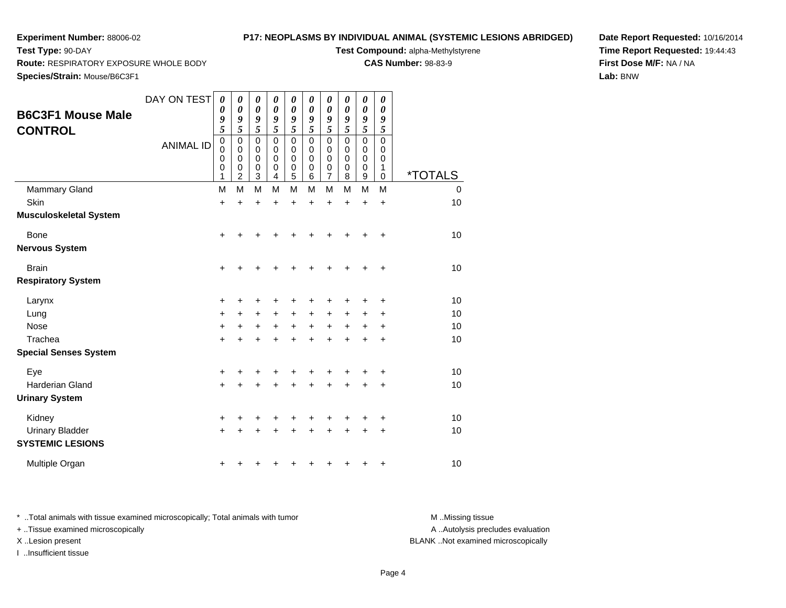**Test Type:** 90-DAY

## **P17: NEOPLASMS BY INDIVIDUAL ANIMAL (SYSTEMIC LESIONS ABRIDGED)**

**Test Compound:** alpha-Methylstyrene

**CAS Number:** 98-83-9

**Date Report Requested:** 10/16/2014**Time Report Requested:** 19:44:43**First Dose M/F:** NA / NA**Lab:** BNW

**Route:** RESPIRATORY EXPOSURE WHOLE BODY

**Species/Strain:** Mouse/B6C3F1

| <b>B6C3F1 Mouse Male</b><br><b>CONTROL</b>        | DAY ON TEST<br><b>ANIMAL ID</b> | $\boldsymbol{\theta}$<br>$\boldsymbol{\theta}$<br>9<br>5<br>$\mathbf 0$<br>$\mathbf 0$<br>$\mathbf 0$<br>$\mathbf 0$<br>1 | 0<br>0<br>9<br>5<br>$\mathbf 0$<br>0<br>0<br>0<br>$\overline{2}$ | 0<br>$\boldsymbol{\theta}$<br>9<br>5<br>0<br>0<br>0<br>$\boldsymbol{0}$<br>3 | 0<br>0<br>9<br>5<br>0<br>0<br>0<br>0<br>4 | 0<br>$\boldsymbol{\theta}$<br>9<br>5<br>$\mathbf 0$<br>0<br>0<br>0<br>5 | $\boldsymbol{\theta}$<br>$\boldsymbol{\theta}$<br>9<br>5<br>$\mathbf 0$<br>0<br>0<br>0<br>6 | 0<br>0<br>9<br>5<br>$\mathbf 0$<br>$\mathbf 0$<br>0<br>$\mathbf 0$<br>7 | 0<br>0<br>9<br>5<br>$\mathbf 0$<br>0<br>0<br>0<br>8 | $\boldsymbol{\theta}$<br>0<br>9<br>5<br>$\mathbf 0$<br>0<br>$\mathbf 0$<br>0<br>$\mathsf g$ | 0<br>$\boldsymbol{\theta}$<br>9<br>5<br>$\mathbf 0$<br>0<br>0<br>1<br>0 | <i><b>*TOTALS</b></i> |
|---------------------------------------------------|---------------------------------|---------------------------------------------------------------------------------------------------------------------------|------------------------------------------------------------------|------------------------------------------------------------------------------|-------------------------------------------|-------------------------------------------------------------------------|---------------------------------------------------------------------------------------------|-------------------------------------------------------------------------|-----------------------------------------------------|---------------------------------------------------------------------------------------------|-------------------------------------------------------------------------|-----------------------|
| <b>Mammary Gland</b>                              |                                 | M                                                                                                                         | M                                                                | M                                                                            | M                                         | M                                                                       | M                                                                                           | M                                                                       | M                                                   | M                                                                                           | M                                                                       | 0                     |
| Skin                                              |                                 | $\ddot{}$                                                                                                                 | $\ddot{}$                                                        | $\ddot{}$                                                                    | $\ddot{}$                                 | $\ddot{}$                                                               | $\ddot{}$                                                                                   | $\ddot{}$                                                               | $\ddot{}$                                           | $\ddot{}$                                                                                   | $\ddot{}$                                                               | 10                    |
| <b>Musculoskeletal System</b>                     |                                 |                                                                                                                           |                                                                  |                                                                              |                                           |                                                                         |                                                                                             |                                                                         |                                                     |                                                                                             |                                                                         |                       |
| Bone                                              |                                 | $\ddot{}$                                                                                                                 |                                                                  |                                                                              |                                           |                                                                         |                                                                                             |                                                                         |                                                     | ┿                                                                                           | $\ddot{}$                                                               | 10                    |
| <b>Nervous System</b>                             |                                 |                                                                                                                           |                                                                  |                                                                              |                                           |                                                                         |                                                                                             |                                                                         |                                                     |                                                                                             |                                                                         |                       |
| <b>Brain</b>                                      |                                 | +                                                                                                                         |                                                                  |                                                                              |                                           |                                                                         |                                                                                             |                                                                         |                                                     |                                                                                             | +                                                                       | 10                    |
| <b>Respiratory System</b>                         |                                 |                                                                                                                           |                                                                  |                                                                              |                                           |                                                                         |                                                                                             |                                                                         |                                                     |                                                                                             |                                                                         |                       |
| Larynx                                            |                                 | +                                                                                                                         | +                                                                | +                                                                            |                                           | +                                                                       |                                                                                             |                                                                         |                                                     | +                                                                                           | +                                                                       | 10                    |
| Lung                                              |                                 | +                                                                                                                         | +                                                                | +                                                                            | +                                         | +                                                                       | +                                                                                           | +                                                                       | +                                                   | +                                                                                           | +                                                                       | 10                    |
| <b>Nose</b>                                       |                                 | +                                                                                                                         | $\ddot{}$                                                        | $\pm$                                                                        | +                                         | +                                                                       | $\ddot{}$                                                                                   | +                                                                       | $\pm$                                               | +                                                                                           | +                                                                       | 10                    |
| Trachea                                           |                                 | $\ddot{}$                                                                                                                 |                                                                  | +                                                                            |                                           | +                                                                       |                                                                                             |                                                                         |                                                     | +                                                                                           | +                                                                       | 10                    |
| <b>Special Senses System</b>                      |                                 |                                                                                                                           |                                                                  |                                                                              |                                           |                                                                         |                                                                                             |                                                                         |                                                     |                                                                                             |                                                                         |                       |
| Eye                                               |                                 | +                                                                                                                         |                                                                  | +                                                                            |                                           | +                                                                       |                                                                                             |                                                                         | +                                                   |                                                                                             | +                                                                       | 10                    |
| Harderian Gland                                   |                                 | $\ddot{}$                                                                                                                 |                                                                  |                                                                              |                                           | +                                                                       |                                                                                             |                                                                         | $\ddot{}$                                           | +                                                                                           | +                                                                       | 10                    |
| <b>Urinary System</b>                             |                                 |                                                                                                                           |                                                                  |                                                                              |                                           |                                                                         |                                                                                             |                                                                         |                                                     |                                                                                             |                                                                         |                       |
| Kidney                                            |                                 | +                                                                                                                         |                                                                  |                                                                              |                                           |                                                                         |                                                                                             |                                                                         | ٠                                                   | +                                                                                           | +                                                                       | 10                    |
| <b>Urinary Bladder</b><br><b>SYSTEMIC LESIONS</b> |                                 | $\ddot{}$                                                                                                                 |                                                                  |                                                                              |                                           | +                                                                       |                                                                                             |                                                                         |                                                     | +                                                                                           | +                                                                       | 10                    |
| Multiple Organ                                    |                                 | +                                                                                                                         |                                                                  |                                                                              |                                           |                                                                         |                                                                                             |                                                                         |                                                     | +                                                                                           | +                                                                       | 10                    |

\* ..Total animals with tissue examined microscopically; Total animals with tumor **M** . Missing tissue M ..Missing tissue + ..Tissue examined microscopically

I ..Insufficient tissue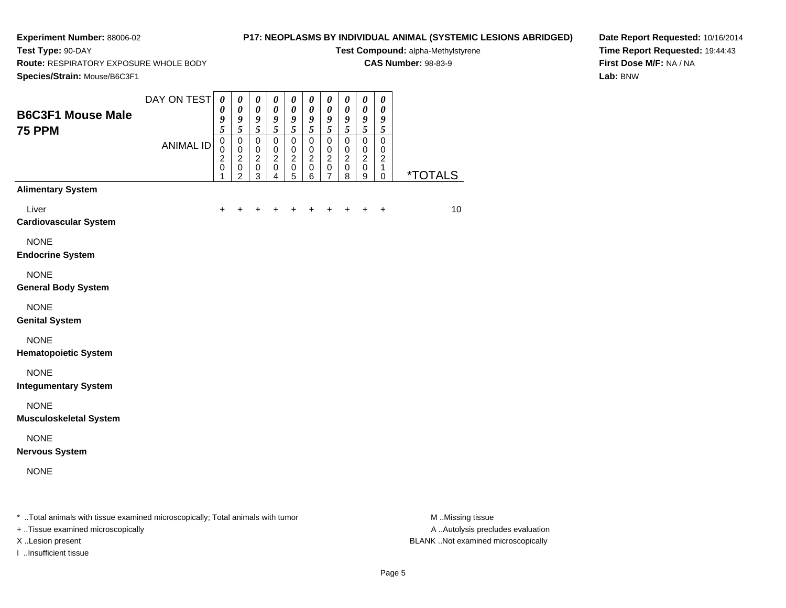**Test Type:** 90-DAY

## **P17: NEOPLASMS BY INDIVIDUAL ANIMAL (SYSTEMIC LESIONS ABRIDGED)**

**Test Compound:** alpha-Methylstyrene**CAS Number:** 98-83-9

**Route:** RESPIRATORY EXPOSURE WHOLE BODY

**Date Report Requested:** 10/16/2014**Time Report Requested:** 19:44:43**First Dose M/F:** NA / NA**Lab:** BNW

| Species/Strain: Mouse/B6C3F1                                                   |                  |                                                          |                                                                         |                                                                |                                                              |                                                      |                                                                |                                                          |                                              |                                                                    |                                                                  |                       |
|--------------------------------------------------------------------------------|------------------|----------------------------------------------------------|-------------------------------------------------------------------------|----------------------------------------------------------------|--------------------------------------------------------------|------------------------------------------------------|----------------------------------------------------------------|----------------------------------------------------------|----------------------------------------------|--------------------------------------------------------------------|------------------------------------------------------------------|-----------------------|
| <b>B6C3F1 Mouse Male</b><br><b>75 PPM</b>                                      | DAY ON TEST      | $\boldsymbol{\theta}$<br>$\boldsymbol{\theta}$<br>9<br>5 | $\boldsymbol{\theta}$<br>$\boldsymbol{\theta}$<br>9<br>5                | $\boldsymbol{\theta}$<br>$\boldsymbol{\theta}$<br>9<br>5       | $\pmb{\theta}$<br>$\boldsymbol{\theta}$<br>9<br>5            | $\boldsymbol{\theta}$<br>0<br>9<br>5                 | $\boldsymbol{\theta}$<br>0<br>9<br>5                           | $\pmb{\theta}$<br>0<br>$\boldsymbol{g}$<br>5             | $\pmb{\theta}$<br>0<br>9<br>5                | $\pmb{\theta}$<br>$\pmb{\theta}$<br>$\boldsymbol{g}$<br>$\sqrt{5}$ | $\pmb{\theta}$<br>0<br>$\boldsymbol{g}$<br>5                     |                       |
|                                                                                | <b>ANIMAL ID</b> | $\mathsf 0$<br>0<br>$\overline{c}$<br>$\pmb{0}$<br>1     | $\pmb{0}$<br>$\mathbf 0$<br>$\overline{c}$<br>$\,0\,$<br>$\overline{c}$ | $\pmb{0}$<br>$\mathbf 0$<br>$\boldsymbol{2}$<br>$\pmb{0}$<br>3 | $\pmb{0}$<br>$\mathbf 0$<br>$\overline{c}$<br>$\pmb{0}$<br>4 | 0<br>$\pmb{0}$<br>$\boldsymbol{2}$<br>$\pmb{0}$<br>5 | $\mathsf 0$<br>$\mathbf 0$<br>$\overline{c}$<br>$\pmb{0}$<br>6 | $\mathbf 0$<br>$\mathbf 0$<br>$\boldsymbol{2}$<br>0<br>7 | $\mathsf 0$<br>0<br>$\overline{c}$<br>0<br>8 | $\pmb{0}$<br>$\mathbf 0$<br>$\sqrt{2}$<br>$\pmb{0}$<br>9           | $\mathbf 0$<br>$\mathbf 0$<br>$\overline{c}$<br>1<br>$\mathbf 0$ | <i><b>*TOTALS</b></i> |
| <b>Alimentary System</b>                                                       |                  |                                                          |                                                                         |                                                                |                                                              |                                                      |                                                                |                                                          |                                              |                                                                    |                                                                  |                       |
| Liver<br><b>Cardiovascular System</b>                                          |                  | ٠                                                        |                                                                         |                                                                |                                                              |                                                      |                                                                |                                                          |                                              | +                                                                  | $\ddot{}$                                                        | 10                    |
| <b>NONE</b><br><b>Endocrine System</b>                                         |                  |                                                          |                                                                         |                                                                |                                                              |                                                      |                                                                |                                                          |                                              |                                                                    |                                                                  |                       |
| <b>NONE</b><br><b>General Body System</b>                                      |                  |                                                          |                                                                         |                                                                |                                                              |                                                      |                                                                |                                                          |                                              |                                                                    |                                                                  |                       |
| <b>NONE</b><br><b>Genital System</b>                                           |                  |                                                          |                                                                         |                                                                |                                                              |                                                      |                                                                |                                                          |                                              |                                                                    |                                                                  |                       |
| <b>NONE</b><br><b>Hematopoietic System</b>                                     |                  |                                                          |                                                                         |                                                                |                                                              |                                                      |                                                                |                                                          |                                              |                                                                    |                                                                  |                       |
| <b>NONE</b><br><b>Integumentary System</b>                                     |                  |                                                          |                                                                         |                                                                |                                                              |                                                      |                                                                |                                                          |                                              |                                                                    |                                                                  |                       |
| <b>NONE</b><br><b>Musculoskeletal System</b>                                   |                  |                                                          |                                                                         |                                                                |                                                              |                                                      |                                                                |                                                          |                                              |                                                                    |                                                                  |                       |
| <b>NONE</b><br><b>Nervous System</b>                                           |                  |                                                          |                                                                         |                                                                |                                                              |                                                      |                                                                |                                                          |                                              |                                                                    |                                                                  |                       |
| <b>NONE</b>                                                                    |                  |                                                          |                                                                         |                                                                |                                                              |                                                      |                                                                |                                                          |                                              |                                                                    |                                                                  |                       |
| * Total animals with tissue examined microscopically; Total animals with tumor |                  |                                                          |                                                                         |                                                                |                                                              |                                                      |                                                                |                                                          |                                              |                                                                    |                                                                  | M Missing tissue      |

+ ..Tissue examined microscopically

I ..Insufficient tissue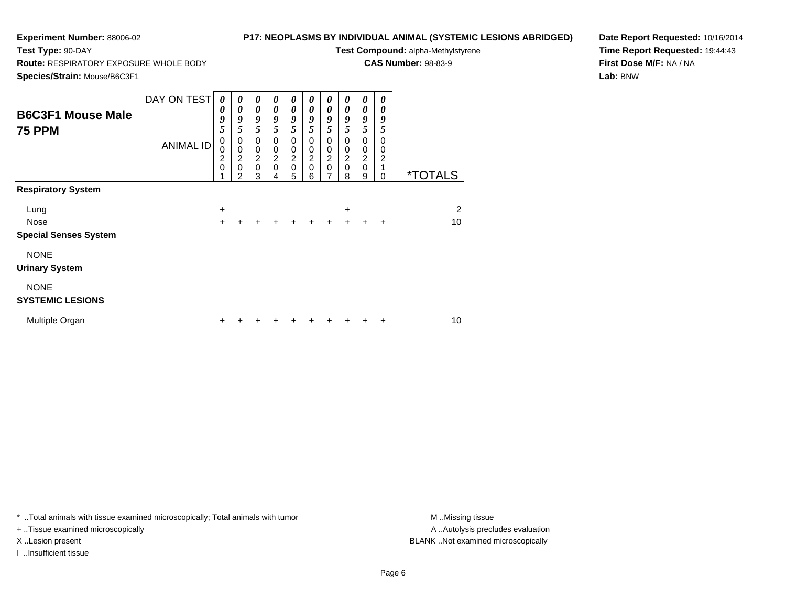**Test Type:** 90-DAY

## **P17: NEOPLASMS BY INDIVIDUAL ANIMAL (SYSTEMIC LESIONS ABRIDGED)**

**Test Compound:** alpha-Methylstyrene

**CAS Number:** 98-83-9

**Species/Strain:** Mouse/B6C3F1

**Route:** RESPIRATORY EXPOSURE WHOLE BODY

**Date Report Requested:** 10/16/2014**Time Report Requested:** 19:44:43**First Dose M/F:** NA / NA**Lab:** BNW

| <b>B6C3F1 Mouse Male</b><br><b>75 PPM</b>           | DAY ON TEST<br><b>ANIMAL ID</b> | 0<br>0<br>9<br>5<br>$\pmb{0}$<br>0        | 0<br>$\boldsymbol{\theta}$<br>9<br>5<br>$\mathbf 0$<br>$\pmb{0}$ | 0<br>0<br>9<br>5<br>$\mathbf 0$                | 0<br>0<br>9<br>5<br>$\mathbf 0$<br>$\pmb{0}$ | 0<br>$\boldsymbol{\theta}$<br>9<br>5<br>$\mathbf 0$<br>0 | 0<br>0<br>9<br>5<br>$\Omega$<br>0    | 0<br>0<br>9<br>5<br>0<br>0 | 0<br>0<br>9<br>5<br>$\Omega$<br>0  | 0<br>0<br>9<br>5<br>0<br>$\pmb{0}$ | 0<br>0<br>9<br>5<br>$\mathbf 0$<br>0 |                       |
|-----------------------------------------------------|---------------------------------|-------------------------------------------|------------------------------------------------------------------|------------------------------------------------|----------------------------------------------|----------------------------------------------------------|--------------------------------------|----------------------------|------------------------------------|------------------------------------|--------------------------------------|-----------------------|
|                                                     |                                 | $\overline{\mathbf{c}}$<br>$\overline{0}$ | $\frac{2}{0}$<br>$\mathfrak{p}$                                  | $\begin{matrix} 0 \\ 2 \\ 0 \end{matrix}$<br>3 | $\overline{c}$<br>$\mathbf 0$<br>4           | $\frac{2}{0}$<br>5                                       | $\boldsymbol{2}$<br>$\mathbf 0$<br>6 | $\frac{2}{0}$<br>7         | $\overline{c}$<br>$\mathbf 0$<br>8 | $\overline{2}$<br>$\mathbf 0$<br>9 | $\overline{c}$<br>1<br>$\Omega$      | <i><b>*TOTALS</b></i> |
| <b>Respiratory System</b>                           |                                 |                                           |                                                                  |                                                |                                              |                                                          |                                      |                            |                                    |                                    |                                      |                       |
| Lung<br><b>Nose</b><br><b>Special Senses System</b> |                                 | +<br>$\ddot{}$                            | +                                                                | +                                              | $\ddot{}$                                    | $+$                                                      | $\ddot{}$                            | $\ddot{}$                  | +<br>$+$                           | $\ddot{}$                          | $\ddot{}$                            | 2<br>10               |
| <b>NONE</b><br><b>Urinary System</b>                |                                 |                                           |                                                                  |                                                |                                              |                                                          |                                      |                            |                                    |                                    |                                      |                       |
| <b>NONE</b><br><b>SYSTEMIC LESIONS</b>              |                                 |                                           |                                                                  |                                                |                                              |                                                          |                                      |                            |                                    |                                    |                                      |                       |
| Multiple Organ                                      |                                 | +                                         |                                                                  |                                                |                                              |                                                          |                                      |                            |                                    |                                    |                                      | 10                    |

\* ..Total animals with tissue examined microscopically; Total animals with tumor **M** . Missing tissue M ..Missing tissue

+ ..Tissue examined microscopically

I ..Insufficient tissue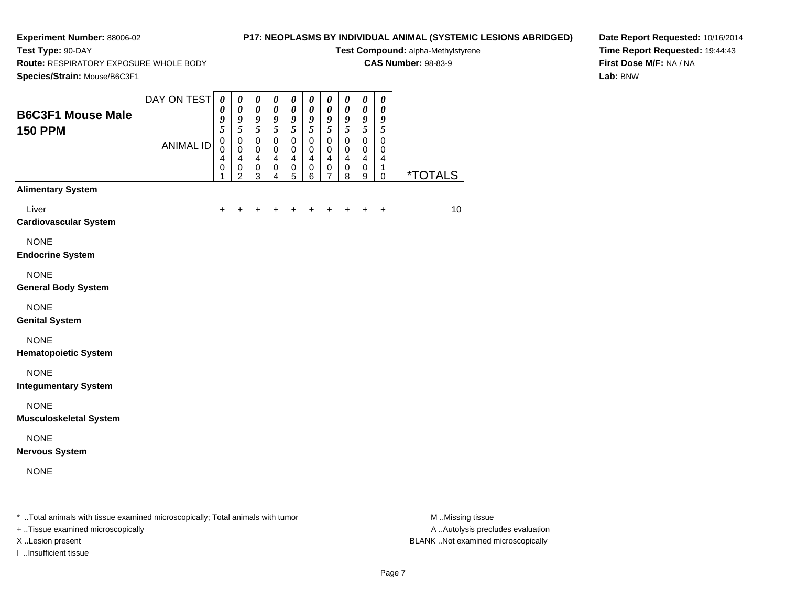**Test Type:** 90-DAY

## **P17: NEOPLASMS BY INDIVIDUAL ANIMAL (SYSTEMIC LESIONS ABRIDGED)**

**Test Compound:** alpha-Methylstyrene**CAS Number:** 98-83-9

**Species/Strain:** Mouse/B6C3F1

**Route:** RESPIRATORY EXPOSURE WHOLE BODY

**Date Report Requested:** 10/16/2014**Time Report Requested:** 19:44:43**First Dose M/F:** NA / NA**Lab:** BNW

| <b>Species/Strain:</b> Mouse/B6C3F1                                            |                  |                                         |                                                               |                                                             |                                                         |                                                           |                                                          |                                                      |                                             |                                                             |                                           |                       |
|--------------------------------------------------------------------------------|------------------|-----------------------------------------|---------------------------------------------------------------|-------------------------------------------------------------|---------------------------------------------------------|-----------------------------------------------------------|----------------------------------------------------------|------------------------------------------------------|---------------------------------------------|-------------------------------------------------------------|-------------------------------------------|-----------------------|
| <b>B6C3F1 Mouse Male</b><br><b>150 PPM</b>                                     | DAY ON TEST      | 0<br>$\pmb{\theta}$<br>9<br>5           | 0<br>$\boldsymbol{\theta}$<br>$\frac{9}{5}$                   | $\pmb{\theta}$<br>$\pmb{\theta}$<br>9<br>$\overline{5}$     | $\pmb{\theta}$<br>$\pmb{\theta}$<br>9<br>$\tilde{s}$    | 0<br>$\boldsymbol{\theta}$<br>9<br>5                      | $\boldsymbol{\theta}$<br>$\pmb{\theta}$<br>$\frac{9}{5}$ | $\pmb{\theta}$<br>$\boldsymbol{\theta}$<br>9<br>5    | 0<br>0<br>9<br>5                            | $\pmb{\theta}$<br>$\pmb{\theta}$<br>$\pmb{9}$<br>$\sqrt{5}$ | $\pmb{\theta}$<br>0<br>9<br>5             |                       |
|                                                                                | <b>ANIMAL ID</b> | $\mathbf 0$<br>0<br>4<br>$\pmb{0}$<br>1 | $\pmb{0}$<br>0<br>$\overline{4}$<br>$\,0\,$<br>$\overline{2}$ | $\pmb{0}$<br>0<br>$\overline{\mathbf{4}}$<br>$\pmb{0}$<br>3 | $\pmb{0}$<br>0<br>$\overline{4}$<br>0<br>$\overline{4}$ | $\pmb{0}$<br>0<br>$\overline{\mathbf{4}}$<br>$\,0\,$<br>5 | $\pmb{0}$<br>0<br>4<br>$\pmb{0}$<br>6                    | $\mathbf 0$<br>0<br>$\overline{4}$<br>$\pmb{0}$<br>7 | 0<br>0<br>$\overline{\mathbf{4}}$<br>0<br>8 | $\mathbf 0$<br>0<br>$\overline{4}$<br>$\pmb{0}$<br>9        | $\mathbf 0$<br>0<br>4<br>1<br>$\mathbf 0$ | <i><b>*TOTALS</b></i> |
| <b>Alimentary System</b>                                                       |                  |                                         |                                                               |                                                             |                                                         |                                                           |                                                          |                                                      |                                             |                                                             |                                           |                       |
| Liver<br><b>Cardiovascular System</b>                                          |                  | $\ddot{}$                               | +                                                             | +                                                           | +                                                       | +                                                         | +                                                        | +                                                    | +                                           | $\ddot{}$                                                   | $\ddot{}$                                 | 10                    |
| <b>NONE</b><br><b>Endocrine System</b>                                         |                  |                                         |                                                               |                                                             |                                                         |                                                           |                                                          |                                                      |                                             |                                                             |                                           |                       |
| <b>NONE</b><br><b>General Body System</b>                                      |                  |                                         |                                                               |                                                             |                                                         |                                                           |                                                          |                                                      |                                             |                                                             |                                           |                       |
| <b>NONE</b><br><b>Genital System</b>                                           |                  |                                         |                                                               |                                                             |                                                         |                                                           |                                                          |                                                      |                                             |                                                             |                                           |                       |
| <b>NONE</b><br><b>Hematopoietic System</b>                                     |                  |                                         |                                                               |                                                             |                                                         |                                                           |                                                          |                                                      |                                             |                                                             |                                           |                       |
| <b>NONE</b><br><b>Integumentary System</b>                                     |                  |                                         |                                                               |                                                             |                                                         |                                                           |                                                          |                                                      |                                             |                                                             |                                           |                       |
| <b>NONE</b><br><b>Musculoskeletal System</b>                                   |                  |                                         |                                                               |                                                             |                                                         |                                                           |                                                          |                                                      |                                             |                                                             |                                           |                       |
| <b>NONE</b><br><b>Nervous System</b>                                           |                  |                                         |                                                               |                                                             |                                                         |                                                           |                                                          |                                                      |                                             |                                                             |                                           |                       |
| <b>NONE</b>                                                                    |                  |                                         |                                                               |                                                             |                                                         |                                                           |                                                          |                                                      |                                             |                                                             |                                           |                       |
| * Total animals with tissue examined microscopically; Total animals with tumor |                  |                                         |                                                               |                                                             |                                                         |                                                           |                                                          |                                                      |                                             |                                                             |                                           | M Missing tissue      |

+ ..Tissue examined microscopically

I ..Insufficient tissue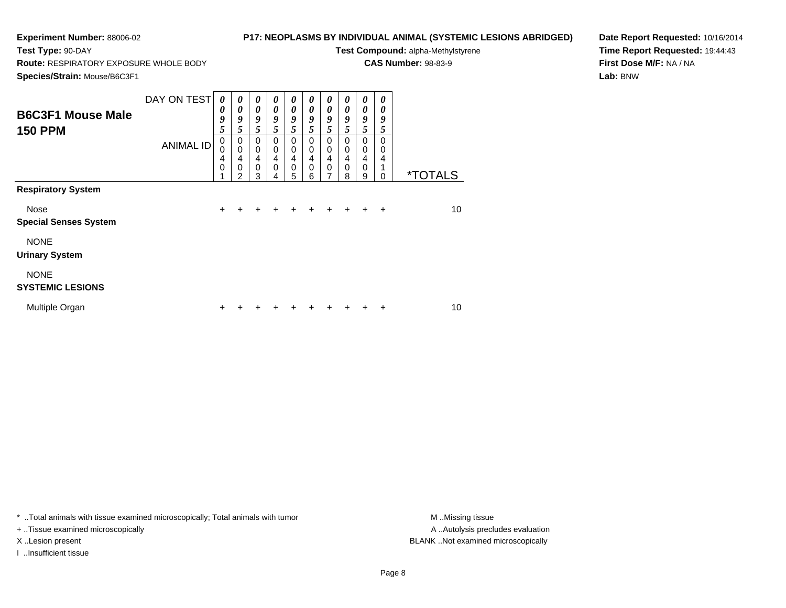**Test Type:** 90-DAY

## **P17: NEOPLASMS BY INDIVIDUAL ANIMAL (SYSTEMIC LESIONS ABRIDGED)**

**Test Compound:** alpha-Methylstyrene

**CAS Number:** 98-83-9

**Species/Strain:** Mouse/B6C3F1

**Route:** RESPIRATORY EXPOSURE WHOLE BODY

**Date Report Requested:** 10/16/2014**Time Report Requested:** 19:44:43**First Dose M/F:** NA / NA**Lab:** BNW

| <b>B6C3F1 Mouse Male</b><br><b>150 PPM</b> | DAY ON TEST<br><b>ANIMAL ID</b> | $\boldsymbol{\theta}$<br>0<br>9<br>5<br>$\mathbf 0$<br>$\mathbf 0$<br>4<br>$\mathbf 0$ | $\boldsymbol{\theta}$<br>$\boldsymbol{\theta}$<br>9<br>5<br>0<br>$\mathbf 0$<br>4<br>0 | $\boldsymbol{\theta}$<br>0<br>9<br>5<br>0<br>$\mathbf 0$<br>$\overline{4}$<br>$\mathbf 0$ | 0<br>0<br>9<br>5<br>0<br>0<br>4<br>$\Omega$ | $\theta$<br>0<br>9<br>5<br>0<br>$\mathbf 0$<br>$\overline{4}$<br>0 | 0<br>0<br>9<br>5<br>0<br>0<br>4<br>0 | 0<br>0<br>9<br>5<br>0<br>$\mathbf 0$<br>4<br>0 | 0<br>0<br>9<br>5<br>$\Omega$<br>$\mathbf 0$<br>4<br>$\Omega$ | $\boldsymbol{\theta}$<br>0<br>9<br>5<br>0<br>0<br>$\overline{4}$<br>$\mathbf 0$ | 0<br>0<br>9<br>5<br>$\Omega$<br>0<br>4 |                       |
|--------------------------------------------|---------------------------------|----------------------------------------------------------------------------------------|----------------------------------------------------------------------------------------|-------------------------------------------------------------------------------------------|---------------------------------------------|--------------------------------------------------------------------|--------------------------------------|------------------------------------------------|--------------------------------------------------------------|---------------------------------------------------------------------------------|----------------------------------------|-----------------------|
| <b>Respiratory System</b>                  |                                 |                                                                                        | $\mathfrak{p}$                                                                         | 3                                                                                         | 4                                           | 5                                                                  | 6                                    | 7                                              | 8                                                            | 9                                                                               | 0                                      | <i><b>*TOTALS</b></i> |
| Nose<br><b>Special Senses System</b>       |                                 | $\pm$                                                                                  |                                                                                        |                                                                                           |                                             |                                                                    |                                      |                                                |                                                              |                                                                                 | $\div$                                 | 10                    |
| <b>NONE</b><br><b>Urinary System</b>       |                                 |                                                                                        |                                                                                        |                                                                                           |                                             |                                                                    |                                      |                                                |                                                              |                                                                                 |                                        |                       |
| <b>NONE</b><br><b>SYSTEMIC LESIONS</b>     |                                 |                                                                                        |                                                                                        |                                                                                           |                                             |                                                                    |                                      |                                                |                                                              |                                                                                 |                                        |                       |
| Multiple Organ                             |                                 | ٠                                                                                      |                                                                                        |                                                                                           |                                             |                                                                    |                                      |                                                |                                                              |                                                                                 |                                        | 10                    |

\* ..Total animals with tissue examined microscopically; Total animals with tumor **M** . Missing tissue M ..Missing tissue

+ ..Tissue examined microscopically

I ..Insufficient tissue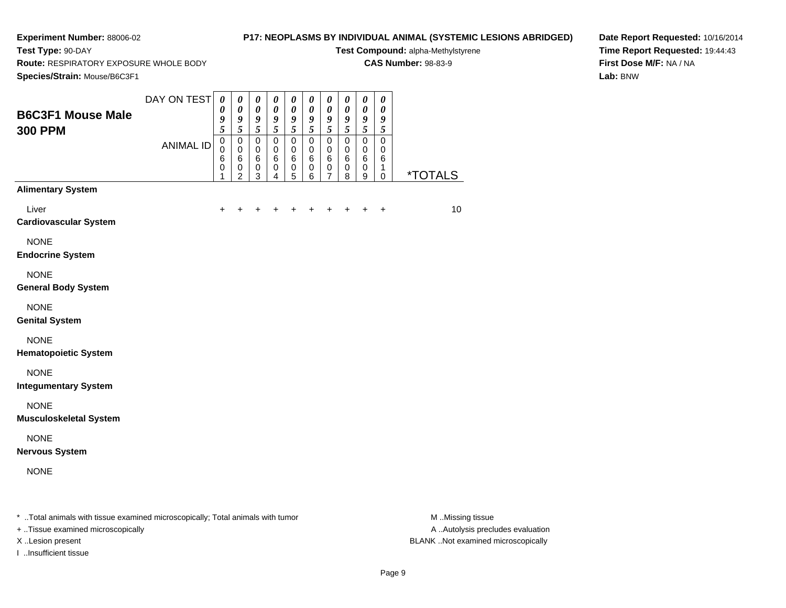**Test Type:** 90-DAY

## **P17: NEOPLASMS BY INDIVIDUAL ANIMAL (SYSTEMIC LESIONS ABRIDGED)**

**Test Compound:** alpha-Methylstyrene

**CAS Number:** 98-83-9

**Route:** RESPIRATORY EXPOSURE WHOLE BODY

**Date Report Requested:** 10/16/2014**Time Report Requested:** 19:44:43**First Dose M/F:** NA / NA**Lab:** BNW

| Species/Strain: Mouse/B6C3F1                                                   |                  |                                           |                                                          |                                                                           |                                                   |                                                       |                                            |                                                                  |                                           |                                                                        |                                                          |                       |
|--------------------------------------------------------------------------------|------------------|-------------------------------------------|----------------------------------------------------------|---------------------------------------------------------------------------|---------------------------------------------------|-------------------------------------------------------|--------------------------------------------|------------------------------------------------------------------|-------------------------------------------|------------------------------------------------------------------------|----------------------------------------------------------|-----------------------|
| <b>B6C3F1 Mouse Male</b><br><b>300 PPM</b>                                     | DAY ON TEST      | $\boldsymbol{\theta}$<br>0<br>9<br>5      | $\boldsymbol{\theta}$<br>$\boldsymbol{\theta}$<br>9<br>5 | $\pmb{\theta}$<br>$\boldsymbol{\theta}$<br>$\boldsymbol{g}$<br>$\sqrt{5}$ | $\pmb{\theta}$<br>$\boldsymbol{\theta}$<br>9<br>5 | $\pmb{\theta}$<br>$\boldsymbol{\theta}$<br>9<br>5     | $\pmb{\theta}$<br>$\pmb{\theta}$<br>9<br>5 | $\pmb{\theta}$<br>$\boldsymbol{\theta}$<br>$\boldsymbol{g}$<br>5 | 0<br>$\pmb{\theta}$<br>9<br>$\sqrt{5}$    | $\pmb{\theta}$<br>$\pmb{\theta}$<br>$\boldsymbol{g}$<br>$\mathfrak{s}$ | $\boldsymbol{\theta}$<br>$\boldsymbol{\theta}$<br>9<br>5 |                       |
|                                                                                | <b>ANIMAL ID</b> | $\mathbf 0$<br>$\mathbf 0$<br>6<br>0<br>1 | 0<br>$\pmb{0}$<br>6<br>0<br>$\overline{2}$               | 0<br>$\pmb{0}$<br>$\,6$<br>$\,0\,$<br>$\mathbf{3}$                        | $\mathsf 0$<br>0<br>6<br>0<br>4                   | $\mathbf 0$<br>$\mathbf 0$<br>$\,6$<br>$\pmb{0}$<br>5 | $\pmb{0}$<br>0<br>6<br>$\pmb{0}$<br>6      | $\mathsf 0$<br>$\mathbf 0$<br>6<br>$\pmb{0}$<br>7                | $\mathsf 0$<br>$\mathbf 0$<br>6<br>0<br>8 | $\pmb{0}$<br>$\mathbf 0$<br>$\,6$<br>$\,0\,$<br>9                      | $\mathbf 0$<br>$\mathbf 0$<br>6<br>1<br>$\mathbf 0$      | <i><b>*TOTALS</b></i> |
| <b>Alimentary System</b>                                                       |                  |                                           |                                                          |                                                                           |                                                   |                                                       |                                            |                                                                  |                                           |                                                                        |                                                          |                       |
| Liver<br><b>Cardiovascular System</b>                                          |                  | +                                         | +                                                        |                                                                           |                                                   |                                                       | +                                          | +                                                                | +                                         | +                                                                      | $\ddot{}$                                                | 10                    |
| <b>NONE</b><br><b>Endocrine System</b>                                         |                  |                                           |                                                          |                                                                           |                                                   |                                                       |                                            |                                                                  |                                           |                                                                        |                                                          |                       |
| <b>NONE</b><br><b>General Body System</b>                                      |                  |                                           |                                                          |                                                                           |                                                   |                                                       |                                            |                                                                  |                                           |                                                                        |                                                          |                       |
| <b>NONE</b><br><b>Genital System</b>                                           |                  |                                           |                                                          |                                                                           |                                                   |                                                       |                                            |                                                                  |                                           |                                                                        |                                                          |                       |
| <b>NONE</b><br><b>Hematopoietic System</b>                                     |                  |                                           |                                                          |                                                                           |                                                   |                                                       |                                            |                                                                  |                                           |                                                                        |                                                          |                       |
| <b>NONE</b><br><b>Integumentary System</b>                                     |                  |                                           |                                                          |                                                                           |                                                   |                                                       |                                            |                                                                  |                                           |                                                                        |                                                          |                       |
| <b>NONE</b><br><b>Musculoskeletal System</b>                                   |                  |                                           |                                                          |                                                                           |                                                   |                                                       |                                            |                                                                  |                                           |                                                                        |                                                          |                       |
| <b>NONE</b><br><b>Nervous System</b>                                           |                  |                                           |                                                          |                                                                           |                                                   |                                                       |                                            |                                                                  |                                           |                                                                        |                                                          |                       |
| <b>NONE</b>                                                                    |                  |                                           |                                                          |                                                                           |                                                   |                                                       |                                            |                                                                  |                                           |                                                                        |                                                          |                       |
| * Total animals with tissue examined microscopically; Total animals with tumor |                  |                                           |                                                          |                                                                           |                                                   |                                                       |                                            |                                                                  |                                           |                                                                        |                                                          | M.Missing tissue      |

+ ..Tissue examined microscopically

I ..Insufficient tissue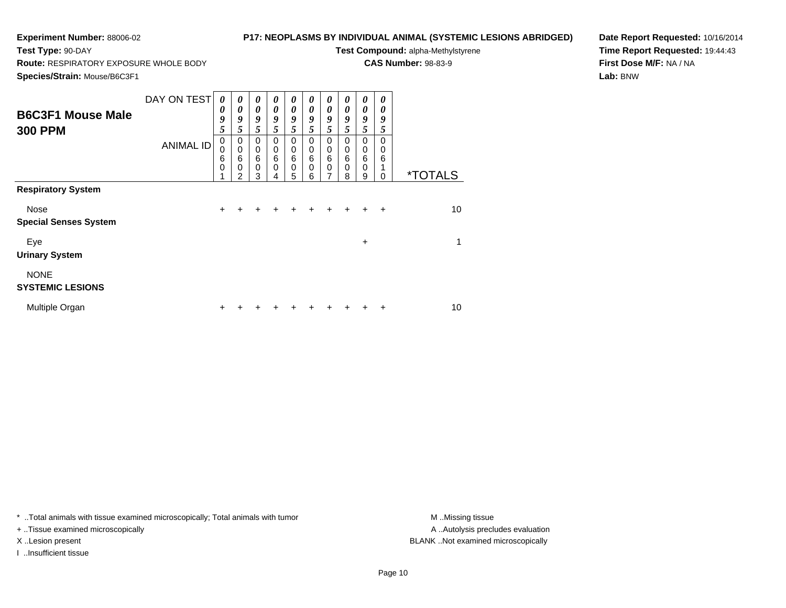**Test Type:** 90-DAY

## **P17: NEOPLASMS BY INDIVIDUAL ANIMAL (SYSTEMIC LESIONS ABRIDGED)**

**Test Compound:** alpha-Methylstyrene

**CAS Number:** 98-83-9

**Species/Strain:** Mouse/B6C3F1

**Route:** RESPIRATORY EXPOSURE WHOLE BODY

**Date Report Requested:** 10/16/2014**Time Report Requested:** 19:44:43**First Dose M/F:** NA / NA**Lab:** BNW

| <b>B6C3F1 Mouse Male</b><br><b>300 PPM</b>                        | DAY ON TEST<br><b>ANIMAL ID</b> | 0<br>0<br>9<br>5<br>$\pmb{0}$<br>$\mathbf 0$<br>6<br>$\mathbf 0$ | 0<br>0<br>9<br>5<br>0<br>$\pmb{0}$<br>6<br>0<br>$\mathfrak{p}$ | 0<br>0<br>9<br>5<br>$\mathbf 0$<br>$\mathbf 0$<br>6<br>0<br>3 | 0<br>0<br>9<br>5<br>0<br>0<br>6<br>0<br>4 | 0<br>0<br>9<br>5<br>0<br>$\mathbf 0$<br>6<br>$\mathbf 0$<br>5 | 0<br>0<br>9<br>5<br>0<br>$\mathbf 0$<br>6<br>0<br>6 | 0<br>0<br>9<br>5<br>0<br>$\pmb{0}$<br>6<br>$\Omega$ | $\boldsymbol{v}$<br>0<br>9<br>5<br>0<br>$\mathbf 0$<br>6<br>$\mathbf 0$<br>8 | 0<br>0<br>9<br>5<br>0<br>0<br>$6\phantom{1}6$<br>$\mathbf 0$<br>9 | 0<br>0<br>9<br>5<br>0<br>0<br>6<br>1<br>$\Omega$ | <i><b>*TOTALS</b></i> |
|-------------------------------------------------------------------|---------------------------------|------------------------------------------------------------------|----------------------------------------------------------------|---------------------------------------------------------------|-------------------------------------------|---------------------------------------------------------------|-----------------------------------------------------|-----------------------------------------------------|------------------------------------------------------------------------------|-------------------------------------------------------------------|--------------------------------------------------|-----------------------|
| <b>Respiratory System</b><br>Nose<br><b>Special Senses System</b> |                                 | $+$                                                              | +                                                              | +                                                             |                                           | +                                                             | $\ddot{}$                                           | $+$                                                 | $+$                                                                          | $+$                                                               | $\ddot{}$                                        | 10                    |
| Eye<br><b>Urinary System</b>                                      |                                 |                                                                  |                                                                |                                                               |                                           |                                                               |                                                     |                                                     |                                                                              | +                                                                 |                                                  | 1                     |
| <b>NONE</b><br><b>SYSTEMIC LESIONS</b>                            |                                 |                                                                  |                                                                |                                                               |                                           |                                                               |                                                     |                                                     |                                                                              |                                                                   |                                                  |                       |
| Multiple Organ                                                    |                                 |                                                                  |                                                                |                                                               |                                           |                                                               |                                                     |                                                     |                                                                              |                                                                   | ٠                                                | 10                    |

\* ..Total animals with tissue examined microscopically; Total animals with tumor **M** . Missing tissue M ..Missing tissue

+ ..Tissue examined microscopically

I ..Insufficient tissue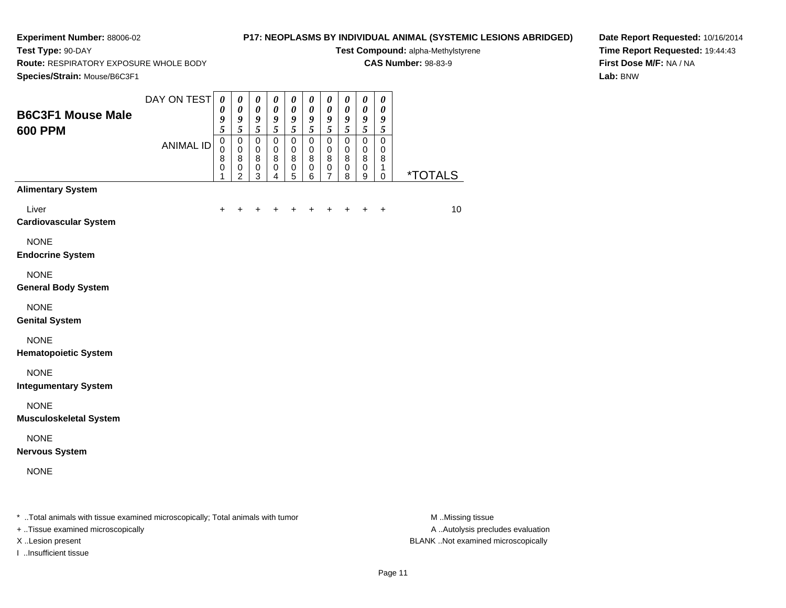**Test Type:** 90-DAY

## **P17: NEOPLASMS BY INDIVIDUAL ANIMAL (SYSTEMIC LESIONS ABRIDGED)**

**Test Compound:** alpha-Methylstyrene

**CAS Number:** 98-83-9

**Route:** RESPIRATORY EXPOSURE WHOLE BODY

**Date Report Requested:** 10/16/2014**Time Report Requested:** 19:44:43**First Dose M/F:** NA / NA**Lab:** BNW

| Species/Strain: Mouse/B6C3F1                                                   |                  |                                                          |                                                                                  |                                                                           |                                                                               |                                                                         |                                                                                  |                                                                  |                                                      |                                                                                  |                                                   |                       |
|--------------------------------------------------------------------------------|------------------|----------------------------------------------------------|----------------------------------------------------------------------------------|---------------------------------------------------------------------------|-------------------------------------------------------------------------------|-------------------------------------------------------------------------|----------------------------------------------------------------------------------|------------------------------------------------------------------|------------------------------------------------------|----------------------------------------------------------------------------------|---------------------------------------------------|-----------------------|
| <b>B6C3F1 Mouse Male</b><br><b>600 PPM</b>                                     | DAY ON TEST      | $\boldsymbol{\theta}$<br>$\boldsymbol{\theta}$<br>9<br>5 | $\boldsymbol{\theta}$<br>$\boldsymbol{\theta}$<br>$\boldsymbol{g}$<br>$\sqrt{5}$ | $\pmb{\theta}$<br>$\boldsymbol{\theta}$<br>$\boldsymbol{g}$<br>$\sqrt{5}$ | $\pmb{\theta}$<br>$\boldsymbol{\theta}$<br>$\boldsymbol{9}$<br>$\mathfrak{s}$ | $\boldsymbol{\theta}$<br>$\boldsymbol{\theta}$<br>$\boldsymbol{g}$<br>5 | $\boldsymbol{\theta}$<br>$\boldsymbol{\theta}$<br>$\boldsymbol{g}$<br>$\sqrt{5}$ | $\boldsymbol{\theta}$<br>$\pmb{\theta}$<br>$\boldsymbol{g}$<br>5 | 0<br>0<br>9<br>5                                     | $\boldsymbol{\theta}$<br>$\boldsymbol{\theta}$<br>$\boldsymbol{g}$<br>$\sqrt{5}$ | $\boldsymbol{\theta}$<br>0<br>9<br>$\mathfrak{s}$ |                       |
|                                                                                | <b>ANIMAL ID</b> | $\mathsf 0$<br>0<br>8<br>0<br>1                          | $\mathbf 0$<br>$\mathbf 0$<br>$\bf 8$<br>$\,0\,$<br>2                            | $\mathbf 0$<br>$\pmb{0}$<br>$\bf 8$<br>$\pmb{0}$<br>$\mathbf{3}$          | $\pmb{0}$<br>$\mathbf 0$<br>$\bf 8$<br>$\pmb{0}$<br>$\overline{4}$            | $\overline{0}$<br>$\mathbf 0$<br>$\bf8$<br>$\,0\,$<br>5                 | $\mathbf 0$<br>$\mathbf 0$<br>8<br>$\,0\,$<br>6                                  | $\mathbf 0$<br>$\mathbf 0$<br>8<br>$\pmb{0}$<br>7                | $\overline{0}$<br>$\mathbf 0$<br>8<br>$\pmb{0}$<br>8 | $\overline{0}$<br>$\mathbf 0$<br>$\bf 8$<br>$\pmb{0}$<br>9                       | $\mathbf 0$<br>0<br>8<br>1<br>$\pmb{0}$           | <i><b>*TOTALS</b></i> |
| <b>Alimentary System</b>                                                       |                  |                                                          |                                                                                  |                                                                           |                                                                               |                                                                         |                                                                                  |                                                                  |                                                      |                                                                                  |                                                   |                       |
| Liver<br><b>Cardiovascular System</b>                                          |                  | +                                                        |                                                                                  |                                                                           |                                                                               |                                                                         |                                                                                  |                                                                  |                                                      |                                                                                  | $\ddot{}$                                         | 10                    |
| <b>NONE</b><br><b>Endocrine System</b>                                         |                  |                                                          |                                                                                  |                                                                           |                                                                               |                                                                         |                                                                                  |                                                                  |                                                      |                                                                                  |                                                   |                       |
| <b>NONE</b><br><b>General Body System</b>                                      |                  |                                                          |                                                                                  |                                                                           |                                                                               |                                                                         |                                                                                  |                                                                  |                                                      |                                                                                  |                                                   |                       |
| <b>NONE</b><br><b>Genital System</b>                                           |                  |                                                          |                                                                                  |                                                                           |                                                                               |                                                                         |                                                                                  |                                                                  |                                                      |                                                                                  |                                                   |                       |
| <b>NONE</b><br><b>Hematopoietic System</b>                                     |                  |                                                          |                                                                                  |                                                                           |                                                                               |                                                                         |                                                                                  |                                                                  |                                                      |                                                                                  |                                                   |                       |
| <b>NONE</b><br><b>Integumentary System</b>                                     |                  |                                                          |                                                                                  |                                                                           |                                                                               |                                                                         |                                                                                  |                                                                  |                                                      |                                                                                  |                                                   |                       |
| <b>NONE</b><br><b>Musculoskeletal System</b>                                   |                  |                                                          |                                                                                  |                                                                           |                                                                               |                                                                         |                                                                                  |                                                                  |                                                      |                                                                                  |                                                   |                       |
| <b>NONE</b><br><b>Nervous System</b>                                           |                  |                                                          |                                                                                  |                                                                           |                                                                               |                                                                         |                                                                                  |                                                                  |                                                      |                                                                                  |                                                   |                       |
| <b>NONE</b>                                                                    |                  |                                                          |                                                                                  |                                                                           |                                                                               |                                                                         |                                                                                  |                                                                  |                                                      |                                                                                  |                                                   |                       |
| * Total animals with tissue examined microscopically; Total animals with tumor |                  |                                                          |                                                                                  |                                                                           |                                                                               |                                                                         |                                                                                  |                                                                  |                                                      |                                                                                  |                                                   | M Missing tissue      |

+ ..Tissue examined microscopically

I ..Insufficient tissue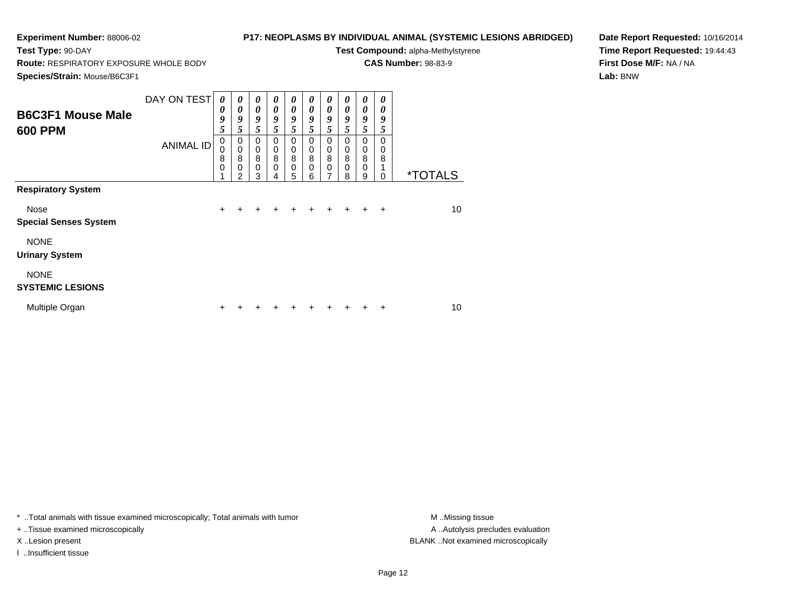**Test Type:** 90-DAY

## **P17: NEOPLASMS BY INDIVIDUAL ANIMAL (SYSTEMIC LESIONS ABRIDGED)**

**Test Compound:** alpha-Methylstyrene

**CAS Number:** 98-83-9

**Species/Strain:** Mouse/B6C3F1

**Route:** RESPIRATORY EXPOSURE WHOLE BODY

**Date Report Requested:** 10/16/2014**Time Report Requested:** 19:44:43**First Dose M/F:** NA / NA**Lab:** BNW

| <b>B6C3F1 Mouse Male</b><br><b>600 PPM</b>                                       | DAY ON TEST<br><b>ANIMAL ID</b> | $\boldsymbol{\theta}$<br>0<br>9<br>5<br>$\mathbf 0$<br>0<br>8<br>$\mathbf 0$ | $\boldsymbol{\theta}$<br>$\boldsymbol{\theta}$<br>9<br>5<br>0<br>0<br>8<br>0<br>$\overline{2}$ | $\boldsymbol{\theta}$<br>$\boldsymbol{\theta}$<br>9<br>5<br>$\mathbf 0$<br>0<br>8<br>$\mathbf 0$<br>3 | 0<br>0<br>9<br>5<br>$\Omega$<br>0<br>8<br>$\Omega$<br>4 | $\boldsymbol{\theta}$<br>$\boldsymbol{\theta}$<br>9<br>5<br>0<br>0<br>8<br>$\mathbf 0$<br>5 | 0<br>$\theta$<br>9<br>5<br>0<br>0<br>8<br>0<br>6 | 0<br>$\theta$<br>9<br>5<br>0<br>0<br>8<br>$\mathbf 0$<br>7 | 0<br>0<br>9<br>5<br>$\Omega$<br>$\mathbf 0$<br>8<br>$\Omega$<br>8 | 0<br>0<br>9<br>5<br>0<br>0<br>$\overline{8}$<br>$\mathbf 0$<br>9 | 0<br>0<br>9<br>5<br>$\Omega$<br>0<br>8<br>1<br>0 | <i><b>*TOTALS</b></i> |
|----------------------------------------------------------------------------------|---------------------------------|------------------------------------------------------------------------------|------------------------------------------------------------------------------------------------|-------------------------------------------------------------------------------------------------------|---------------------------------------------------------|---------------------------------------------------------------------------------------------|--------------------------------------------------|------------------------------------------------------------|-------------------------------------------------------------------|------------------------------------------------------------------|--------------------------------------------------|-----------------------|
| <b>Respiratory System</b><br>Nose<br><b>Special Senses System</b><br><b>NONE</b> |                                 | $\ddot{}$                                                                    |                                                                                                | +                                                                                                     | ÷                                                       |                                                                                             | $\ddot{}$                                        | $\div$                                                     | $+$                                                               | $+$                                                              | $\overline{+}$                                   | 10                    |
| <b>Urinary System</b><br><b>NONE</b><br><b>SYSTEMIC LESIONS</b>                  |                                 |                                                                              |                                                                                                |                                                                                                       |                                                         |                                                                                             |                                                  |                                                            |                                                                   |                                                                  |                                                  |                       |
| Multiple Organ                                                                   |                                 | ٠                                                                            |                                                                                                |                                                                                                       |                                                         |                                                                                             |                                                  |                                                            |                                                                   |                                                                  | ÷                                                | 10                    |

\* ..Total animals with tissue examined microscopically; Total animals with tumor **M** . Missing tissue M ..Missing tissue

+ ..Tissue examined microscopically

I ..Insufficient tissue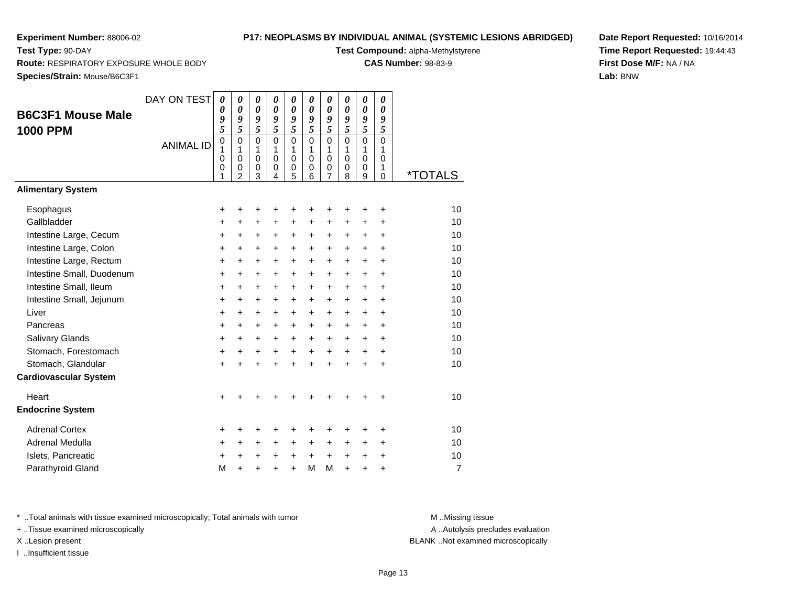**Test Type:** 90-DAY

## **P17: NEOPLASMS BY INDIVIDUAL ANIMAL (SYSTEMIC LESIONS ABRIDGED)**

**Test Compound:** alpha-Methylstyrene

**CAS Number:** 98-83-9

**Species/Strain:** Mouse/B6C3F1

**Route:** RESPIRATORY EXPOSURE WHOLE BODY

| Date Report Requested: 10/16/2014 |
|-----------------------------------|
| Time Report Requested: 19:44:43   |
| First Dose M/F: NA / NA           |
| Lab: BNW                          |

| <b>B6C3F1 Mouse Male</b><br><b>1000 PPM</b> | DAY ON TEST      | $\boldsymbol{\theta}$<br>0<br>9<br>$\overline{5}$ | $\pmb{\theta}$<br>$\boldsymbol{\theta}$<br>9<br>$\overline{5}$ | $\pmb{\theta}$<br>$\pmb{\theta}$<br>9<br>$\overline{\mathbf{5}}$ | $\pmb{\theta}$<br>$\boldsymbol{\theta}$<br>9<br>$\overline{5}$ | 0<br>$\boldsymbol{\theta}$<br>9<br>5           | $\boldsymbol{\theta}$<br>$\boldsymbol{\theta}$<br>9<br>5 | $\boldsymbol{\theta}$<br>$\boldsymbol{\theta}$<br>9<br>5   | 0<br>0<br>9<br>5                       | $\boldsymbol{\theta}$<br>$\boldsymbol{\theta}$<br>9<br>$\overline{5}$ | $\pmb{\theta}$<br>0<br>9<br>5          |                       |
|---------------------------------------------|------------------|---------------------------------------------------|----------------------------------------------------------------|------------------------------------------------------------------|----------------------------------------------------------------|------------------------------------------------|----------------------------------------------------------|------------------------------------------------------------|----------------------------------------|-----------------------------------------------------------------------|----------------------------------------|-----------------------|
|                                             | <b>ANIMAL ID</b> | $\mathbf 0$<br>1<br>$\mathbf 0$<br>0<br>1         | $\mathbf 0$<br>1<br>$\pmb{0}$<br>$\mathbf 0$<br>$\overline{2}$ | $\mathbf 0$<br>1<br>$\pmb{0}$<br>$\pmb{0}$<br>3                  | $\Omega$<br>1<br>$\mathbf 0$<br>$\pmb{0}$<br>$\overline{4}$    | $\Omega$<br>1<br>$\mathbf 0$<br>$\pmb{0}$<br>5 | $\Omega$<br>1<br>$\mathbf 0$<br>0<br>6                   | $\mathbf 0$<br>1<br>$\pmb{0}$<br>$\,0\,$<br>$\overline{7}$ | $\Omega$<br>1<br>$\mathbf 0$<br>0<br>8 | $\mathbf 0$<br>1<br>$\mathsf 0$<br>0<br>9                             | $\Omega$<br>1<br>$\mathbf 0$<br>1<br>0 | <i><b>*TOTALS</b></i> |
| <b>Alimentary System</b>                    |                  |                                                   |                                                                |                                                                  |                                                                |                                                |                                                          |                                                            |                                        |                                                                       |                                        |                       |
| Esophagus                                   |                  | +                                                 | +                                                              | +                                                                | +                                                              | +                                              | +                                                        | ٠                                                          | ٠                                      | ٠                                                                     | $\ddot{}$                              | 10                    |
| Gallbladder                                 |                  | +                                                 | +                                                              | $\ddot{}$                                                        | $\ddot{}$                                                      | $\ddot{}$                                      | $\ddot{}$                                                | $\ddot{}$                                                  | $\pm$                                  | $\ddot{}$                                                             | $\ddot{}$                              | 10                    |
| Intestine Large, Cecum                      |                  | +                                                 | $\ddot{}$                                                      | $\ddot{}$                                                        | $\ddot{}$                                                      | $\ddot{}$                                      | $\ddot{}$                                                | $\ddot{}$                                                  | $\ddot{}$                              | $\ddot{}$                                                             | $\ddot{}$                              | 10                    |
| Intestine Large, Colon                      |                  | $\ddot{}$                                         | $\ddot{}$                                                      | $\ddot{}$                                                        | +                                                              | $\ddot{}$                                      | $\ddot{}$                                                | $\ddot{}$                                                  | $\ddot{}$                              | $\ddot{}$                                                             | $\ddot{}$                              | 10                    |
| Intestine Large, Rectum                     |                  | $\ddot{}$                                         | $\ddot{}$                                                      | $\ddot{}$                                                        | $\ddot{}$                                                      | $\ddot{}$                                      | $\ddot{}$                                                | $\ddot{}$                                                  | $\ddot{}$                              | $\ddot{}$                                                             | $\ddot{}$                              | 10                    |
| Intestine Small, Duodenum                   |                  | $\ddot{}$                                         | $\ddot{}$                                                      | $\ddot{}$                                                        | $\ddot{}$                                                      | $\ddot{}$                                      | $\ddot{}$                                                | $\ddot{}$                                                  | $\ddot{}$                              | $\ddot{}$                                                             | $\ddot{}$                              | 10                    |
| Intestine Small, Ileum                      |                  | +                                                 | $\ddot{}$                                                      | $\ddot{}$                                                        | $\ddot{}$                                                      | $\ddot{}$                                      | $\ddot{}$                                                | $\ddot{}$                                                  | $\ddot{}$                              | $\ddot{}$                                                             | $\ddot{}$                              | 10                    |
| Intestine Small, Jejunum                    |                  | $\ddot{}$                                         | $\ddot{}$                                                      | +                                                                | $\ddot{}$                                                      | +                                              | $\ddot{}$                                                | $\ddot{}$                                                  | $\ddot{}$                              | $\ddot{}$                                                             | $\ddot{}$                              | 10                    |
| Liver                                       |                  | $\ddot{}$                                         | $\ddot{}$                                                      | $\ddot{}$                                                        | $\ddot{}$                                                      | $\ddot{}$                                      | $\ddot{}$                                                | $\ddot{}$                                                  | $\ddot{}$                              | $\ddot{}$                                                             | $\ddot{}$                              | 10                    |
| Pancreas                                    |                  | $\ddot{}$                                         | $\ddot{}$                                                      | $\ddot{}$                                                        | $\ddot{}$                                                      | $\ddot{}$                                      | $\ddot{}$                                                | $\ddot{}$                                                  | $\ddot{}$                              | $\ddot{}$                                                             | $\ddot{}$                              | 10                    |
| Salivary Glands                             |                  | $\ddot{}$                                         | $\ddot{}$                                                      | $\ddot{}$                                                        | $\ddot{}$                                                      | $\ddot{}$                                      | $\ddot{}$                                                | $+$                                                        | $+$                                    | $\ddot{}$                                                             | $\ddot{}$                              | 10                    |
| Stomach, Forestomach                        |                  | +                                                 | $\ddot{}$                                                      | $\ddot{}$                                                        | $\ddot{}$                                                      | $\ddot{}$                                      | $\ddot{}$                                                | $\ddot{}$                                                  | $\ddot{}$                              | $\ddot{}$                                                             | $\ddot{}$                              | 10                    |
| Stomach, Glandular                          |                  | $\ddot{}$                                         | $\ddot{}$                                                      | $\ddot{}$                                                        | $\ddot{}$                                                      | $\ddot{}$                                      | $\ddot{}$                                                | $\ddot{}$                                                  | $\ddot{}$                              | $\ddot{}$                                                             | $\ddot{}$                              | 10                    |
| <b>Cardiovascular System</b>                |                  |                                                   |                                                                |                                                                  |                                                                |                                                |                                                          |                                                            |                                        |                                                                       |                                        |                       |
| Heart                                       |                  | $\ddot{}$                                         |                                                                |                                                                  |                                                                | +                                              | +                                                        | +                                                          | +                                      | +                                                                     | +                                      | 10                    |
| <b>Endocrine System</b>                     |                  |                                                   |                                                                |                                                                  |                                                                |                                                |                                                          |                                                            |                                        |                                                                       |                                        |                       |
| <b>Adrenal Cortex</b>                       |                  | +                                                 | +                                                              | +                                                                |                                                                | +                                              | +                                                        | +                                                          | +                                      | +                                                                     | +                                      | 10                    |
| Adrenal Medulla                             |                  | +                                                 | $\ddot{}$                                                      | $\ddot{}$                                                        | $\ddot{}$                                                      | +                                              | +                                                        | +                                                          | $\ddot{}$                              | $\ddot{}$                                                             | $\ddot{}$                              | 10                    |
| Islets, Pancreatic                          |                  | +                                                 | $\ddot{}$                                                      | +                                                                | $\ddot{}$                                                      | $\ddot{}$                                      | $\ddot{}$                                                | $\ddot{}$                                                  | $\ddot{}$                              | $\ddot{}$                                                             | $\ddot{}$                              | 10                    |
| Parathyroid Gland                           |                  | M                                                 | $\ddot{}$                                                      |                                                                  | $\ddot{}$                                                      | $\ddot{}$                                      | M                                                        | M                                                          | $\ddot{}$                              | $\ddot{}$                                                             | $\ddot{}$                              | $\overline{7}$        |

\* ..Total animals with tissue examined microscopically; Total animals with tumor **M** ..Missing tissue M ..Missing tissue

+ ..Tissue examined microscopically

I ..Insufficient tissue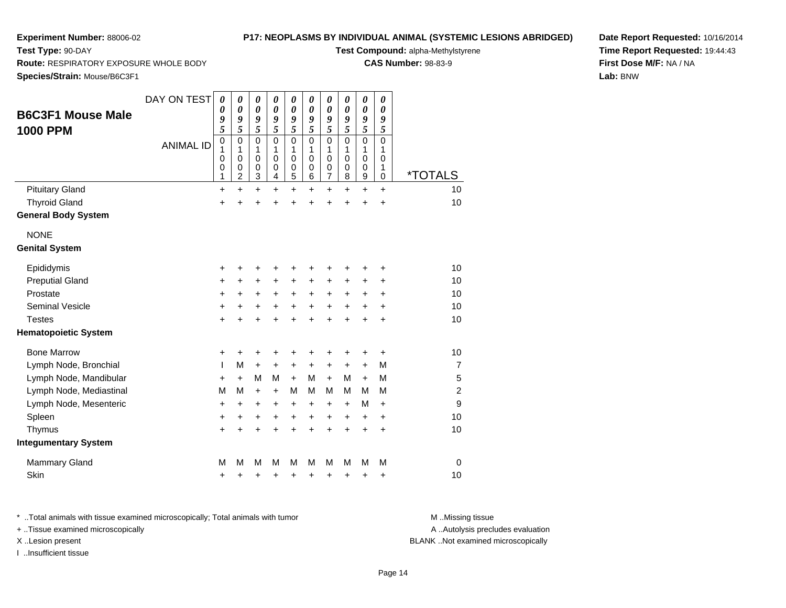**Test Type:** 90-DAY

## **P17: NEOPLASMS BY INDIVIDUAL ANIMAL (SYSTEMIC LESIONS ABRIDGED)**

**Test Compound:** alpha-Methylstyrene

**CAS Number:** 98-83-9

**Date Report Requested:** 10/16/2014**Time Report Requested:** 19:44:43**First Dose M/F:** NA / NA**Lab:** BNW

**Route:** RESPIRATORY EXPOSURE WHOLE BODY

**Species/Strain:** Mouse/B6C3F1

|                             | DAY ON TEST      | 0         | $\boldsymbol{\theta}$      | $\boldsymbol{\theta}$      | $\boldsymbol{\theta}$      | $\boldsymbol{\theta}$ | $\pmb{\theta}$        | $\pmb{\theta}$             | $\pmb{\theta}$        | $\pmb{\theta}$             | 0                     |                       |
|-----------------------------|------------------|-----------|----------------------------|----------------------------|----------------------------|-----------------------|-----------------------|----------------------------|-----------------------|----------------------------|-----------------------|-----------------------|
| <b>B6C3F1 Mouse Male</b>    |                  | 0         | $\boldsymbol{\theta}$      | $\boldsymbol{\theta}$      | $\boldsymbol{\theta}$      | $\boldsymbol{\theta}$ | $\boldsymbol{\theta}$ | $\pmb{\theta}$             | $\boldsymbol{\theta}$ | $\boldsymbol{\theta}$      | $\boldsymbol{\theta}$ |                       |
| <b>1000 PPM</b>             |                  | 9<br>5    | 9<br>5                     | 9<br>5                     | 9<br>5                     | 9<br>$\sqrt{5}$       | 9<br>5                | 9<br>5                     | 9<br>5                | 9<br>5                     | 9<br>5                |                       |
|                             | <b>ANIMAL ID</b> | 0         | $\mathbf 0$                | $\mathbf 0$                | $\Omega$                   | $\mathbf 0$           | $\mathbf 0$           | 0                          | $\mathbf 0$           | $\mathbf 0$                | $\mathbf 0$           |                       |
|                             |                  | 1         | 1                          | 1                          | 1                          | 1<br>$\mathbf 0$      | 1                     | 1                          | 1<br>$\Omega$         | 1                          | 1                     |                       |
|                             |                  | 0<br>0    | $\mathbf 0$<br>$\mathbf 0$ | $\mathbf 0$<br>$\mathbf 0$ | $\mathbf 0$<br>$\mathbf 0$ | $\mathbf 0$           | $\mathbf 0$<br>0      | $\mathbf 0$<br>$\mathbf 0$ | $\mathbf 0$           | $\mathbf 0$<br>$\mathbf 0$ | $\mathbf 0$<br>1      |                       |
|                             |                  | 1         | 2                          | 3                          | 4                          | 5                     | 6                     | $\overline{7}$             | 8                     | 9                          | 0                     | <i><b>*TOTALS</b></i> |
| <b>Pituitary Gland</b>      |                  | $\ddot{}$ | $\ddot{}$                  | $\ddot{}$                  | $\ddot{}$                  | $\ddot{}$             | $\ddot{}$             | $\ddot{}$                  | $\ddot{}$             | $\ddot{}$                  | $+$                   | 10                    |
| <b>Thyroid Gland</b>        |                  | $\ddot{}$ | Ŧ.                         | $\ddot{}$                  |                            | $\ddot{}$             | $\ddot{}$             | $\ddot{}$                  | $\ddot{}$             | $\ddot{}$                  | $\ddot{}$             | 10                    |
| <b>General Body System</b>  |                  |           |                            |                            |                            |                       |                       |                            |                       |                            |                       |                       |
| <b>NONE</b>                 |                  |           |                            |                            |                            |                       |                       |                            |                       |                            |                       |                       |
| <b>Genital System</b>       |                  |           |                            |                            |                            |                       |                       |                            |                       |                            |                       |                       |
| Epididymis                  |                  | +         | +                          | +                          | +                          | +                     | +                     | +                          | +                     | +                          | +                     | 10                    |
| <b>Preputial Gland</b>      |                  | +         | +                          | +                          | +                          | +                     | +                     | +                          | +                     | +                          | +                     | 10                    |
| Prostate                    |                  | +         | +                          | +                          | +                          | $\ddot{}$             | +                     | $\ddot{}$                  | +                     | +                          | $\ddot{}$             | 10                    |
| Seminal Vesicle             |                  | +         | +                          | $\ddot{}$                  | +                          | $\ddot{}$             | +                     | $\ddot{}$                  | $\ddot{}$             | $\ddot{}$                  | $\ddot{}$             | 10                    |
| <b>Testes</b>               |                  | +         | +                          | $\ddot{}$                  |                            | $\ddot{}$             | $\ddot{}$             | $\ddot{}$                  | $\ddot{}$             | $\ddot{}$                  | $\ddot{}$             | 10                    |
| <b>Hematopoietic System</b> |                  |           |                            |                            |                            |                       |                       |                            |                       |                            |                       |                       |
| <b>Bone Marrow</b>          |                  | +         | +                          | +                          | +                          | +                     | +                     | +                          | +                     | +                          | +                     | 10                    |
| Lymph Node, Bronchial       |                  | I.        | M                          | $\ddot{}$                  | $\ddot{}$                  | $\ddot{}$             | $\ddot{}$             | $\ddot{}$                  | $\ddot{}$             | $\ddot{}$                  | м                     | $\overline{7}$        |
| Lymph Node, Mandibular      |                  | +         | $\ddot{}$                  | M                          | M                          | $+$                   | М                     | $+$                        | м                     | $\ddot{}$                  | М                     | 5                     |
| Lymph Node, Mediastinal     |                  | M         | M                          | $\ddot{}$                  | $+$                        | M                     | м                     | М                          | м                     | М                          | М                     | $\overline{c}$        |
| Lymph Node, Mesenteric      |                  | +         | $\ddot{}$                  | $\ddot{}$                  | +                          | +                     | +                     | +                          | +                     | M                          | $\ddot{}$             | 9                     |
| Spleen                      |                  | +         | +                          | +                          | +                          | +                     | +                     | +                          | +                     | +                          | $\ddot{}$             | 10                    |
| Thymus                      |                  | $\ddot{}$ | ÷                          | $\ddot{}$                  | ÷                          | $\ddot{}$             | $\ddot{}$             | $\ddot{}$                  | $\ddot{}$             | $\ddot{}$                  | $\ddot{}$             | 10                    |
| <b>Integumentary System</b> |                  |           |                            |                            |                            |                       |                       |                            |                       |                            |                       |                       |
| <b>Mammary Gland</b>        |                  | M         | M                          | M                          | М                          | M                     | М                     | М                          | М                     | M                          | М                     | $\mathbf 0$           |
| Skin                        |                  | +         | +                          | +                          | +                          | +                     | +                     | +                          | +                     | +                          | +                     | 10                    |

\* ..Total animals with tissue examined microscopically; Total animals with tumor **M** . Missing tissue M ..Missing tissue

+ ..Tissue examined microscopically

I ..Insufficient tissue

A ..Autolysis precludes evaluation

X ..Lesion present BLANK ..Not examined microscopically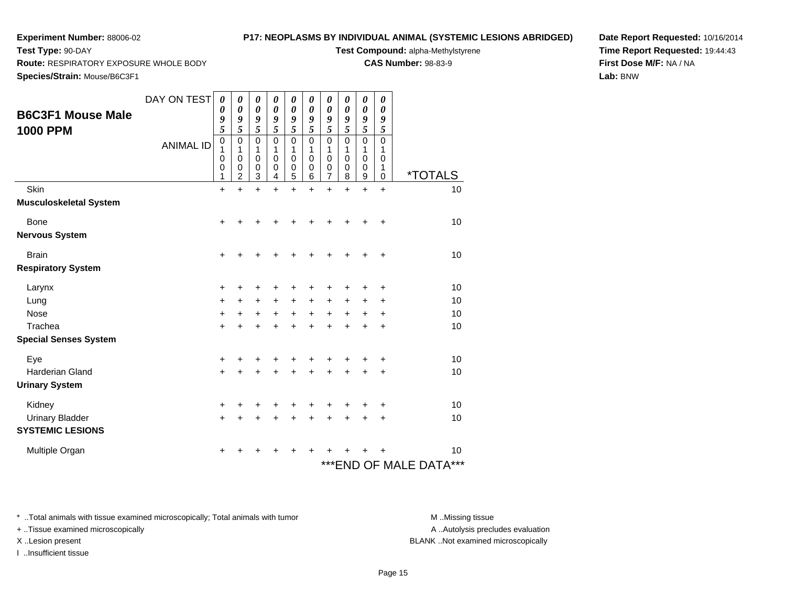**Test Type:** 90-DAY

## **P17: NEOPLASMS BY INDIVIDUAL ANIMAL (SYSTEMIC LESIONS ABRIDGED)**

**Test Compound:** alpha-Methylstyrene

**CAS Number:** 98-83-9

**Date Report Requested:** 10/16/2014**Time Report Requested:** 19:44:43**First Dose M/F:** NA / NA**Lab:** BNW

**Route:** RESPIRATORY EXPOSURE WHOLE BODY

**Species/Strain:** Mouse/B6C3F1

| <b>B6C3F1 Mouse Male</b><br><b>1000 PPM</b> | DAY ON TEST<br><b>ANIMAL ID</b> | 0<br>0<br>9<br>5<br>$\pmb{0}$<br>1<br>0<br>0 | 0<br>0<br>9<br>5<br>0<br>1<br>0<br>0 | 0<br>0<br>9<br>5<br>$\mathbf 0$<br>1<br>0<br>0 | 0<br>$\boldsymbol{\theta}$<br>9<br>5<br>$\mathbf 0$<br>1<br>0<br>0 | 0<br>0<br>9<br>5<br>$\mathbf 0$<br>1<br>0<br>$\mathbf 0$ | $\boldsymbol{\theta}$<br>0<br>9<br>5<br>$\mathbf 0$<br>1<br>0<br>$\mathbf 0$ | 0<br>0<br>9<br>5<br>$\mathbf 0$<br>1<br>0<br>0 | $\boldsymbol{\theta}$<br>$\boldsymbol{\theta}$<br>9<br>5<br>$\mathbf 0$<br>1<br>0<br>$\mathbf 0$ | $\boldsymbol{\theta}$<br>$\boldsymbol{\theta}$<br>9<br>5<br>$\mathbf 0$<br>1<br>0<br>$\pmb{0}$ | 0<br>$\boldsymbol{\theta}$<br>9<br>5<br>$\mathbf 0$<br>1<br>0<br>1 | <i><b>*TOTALS</b></i>      |
|---------------------------------------------|---------------------------------|----------------------------------------------|--------------------------------------|------------------------------------------------|--------------------------------------------------------------------|----------------------------------------------------------|------------------------------------------------------------------------------|------------------------------------------------|--------------------------------------------------------------------------------------------------|------------------------------------------------------------------------------------------------|--------------------------------------------------------------------|----------------------------|
| Skin                                        |                                 | 1<br>$\ddot{}$                               | 2<br>$\ddot{}$                       | 3<br>$\ddot{}$                                 | 4<br>$\ddot{}$                                                     | 5<br>$\ddot{}$                                           | 6<br>$\ddot{}$                                                               | 7<br>$\ddot{}$                                 | 8<br>$\ddot{}$                                                                                   | 9<br>$\ddot{}$                                                                                 | $\mathbf 0$<br>$\ddot{}$                                           | 10                         |
| <b>Musculoskeletal System</b>               |                                 |                                              |                                      |                                                |                                                                    |                                                          |                                                                              |                                                |                                                                                                  |                                                                                                |                                                                    |                            |
| <b>Bone</b>                                 |                                 | $\ddot{}$                                    |                                      |                                                |                                                                    |                                                          |                                                                              | +                                              | +                                                                                                | +                                                                                              | +                                                                  | 10                         |
| <b>Nervous System</b>                       |                                 |                                              |                                      |                                                |                                                                    |                                                          |                                                                              |                                                |                                                                                                  |                                                                                                |                                                                    |                            |
| <b>Brain</b>                                |                                 | $\ddot{}$                                    |                                      |                                                |                                                                    |                                                          |                                                                              |                                                |                                                                                                  |                                                                                                | $\ddot{}$                                                          | 10                         |
| <b>Respiratory System</b>                   |                                 |                                              |                                      |                                                |                                                                    |                                                          |                                                                              |                                                |                                                                                                  |                                                                                                |                                                                    |                            |
| Larynx                                      |                                 | +                                            | +                                    |                                                |                                                                    |                                                          | ٠                                                                            | +                                              | +                                                                                                | +                                                                                              | $\ddot{}$                                                          | 10                         |
| Lung                                        |                                 | $\ddot{}$                                    | $\ddot{}$                            | $\ddot{}$                                      | $\ddot{}$                                                          | $+$                                                      | $\ddot{}$                                                                    | +                                              | +                                                                                                | +                                                                                              | +                                                                  | 10                         |
| <b>Nose</b>                                 |                                 | +                                            | $\pm$                                | $\ddot{}$                                      | $+$                                                                | $+$                                                      | $\ddot{}$                                                                    | $\ddot{}$                                      | +                                                                                                | $\pm$                                                                                          | $\ddot{}$                                                          | 10                         |
| Trachea                                     |                                 | $\ddot{}$                                    |                                      | $\ddot{}$                                      |                                                                    | $\ddot{}$                                                | $\ddot{}$                                                                    | $\ddot{}$                                      | $\ddot{}$                                                                                        | $\ddot{}$                                                                                      | $\ddot{}$                                                          | 10                         |
| <b>Special Senses System</b>                |                                 |                                              |                                      |                                                |                                                                    |                                                          |                                                                              |                                                |                                                                                                  |                                                                                                |                                                                    |                            |
| Eye                                         |                                 | +                                            |                                      |                                                |                                                                    |                                                          | ٠                                                                            | +                                              | +                                                                                                | ┿                                                                                              | +                                                                  | 10                         |
| <b>Harderian Gland</b>                      |                                 | $\ddot{}$                                    |                                      |                                                |                                                                    |                                                          | +                                                                            | +                                              | +                                                                                                |                                                                                                | +                                                                  | 10                         |
| <b>Urinary System</b>                       |                                 |                                              |                                      |                                                |                                                                    |                                                          |                                                                              |                                                |                                                                                                  |                                                                                                |                                                                    |                            |
| Kidney                                      |                                 | +                                            |                                      |                                                |                                                                    |                                                          |                                                                              | +                                              | ٠                                                                                                | +                                                                                              | +                                                                  | 10                         |
| <b>Urinary Bladder</b>                      |                                 | $\ddot{}$                                    |                                      |                                                |                                                                    |                                                          | +                                                                            | +                                              | +                                                                                                | +                                                                                              | $\ddot{}$                                                          | 10                         |
| <b>SYSTEMIC LESIONS</b>                     |                                 |                                              |                                      |                                                |                                                                    |                                                          |                                                                              |                                                |                                                                                                  |                                                                                                |                                                                    |                            |
| Multiple Organ                              |                                 | +                                            |                                      |                                                |                                                                    |                                                          |                                                                              |                                                |                                                                                                  |                                                                                                |                                                                    | 10                         |
|                                             |                                 |                                              |                                      |                                                |                                                                    |                                                          |                                                                              |                                                |                                                                                                  |                                                                                                |                                                                    | ***END OF MALE DATA<br>*** |

\* ..Total animals with tissue examined microscopically; Total animals with tumor **M** . Missing tissue M ..Missing tissue

+ ..Tissue examined microscopically

I ..Insufficient tissue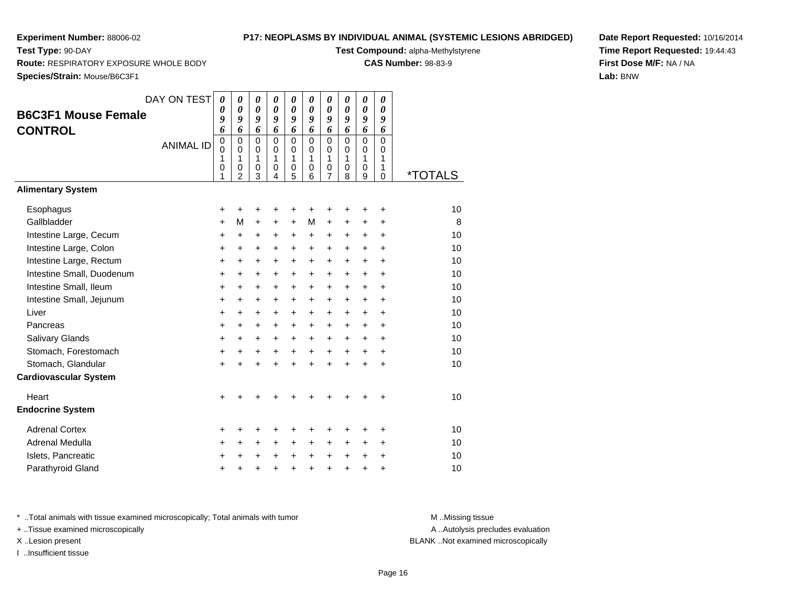**Test Type:** 90-DAY

## **P17: NEOPLASMS BY INDIVIDUAL ANIMAL (SYSTEMIC LESIONS ABRIDGED)**

**Test Compound:** alpha-Methylstyrene

**CAS Number:** 98-83-9

**Species/Strain:** Mouse/B6C3F1

**Route:** RESPIRATORY EXPOSURE WHOLE BODY

| <b>opecies/otialii.</b> Mouse/Doush i |                  |                                                       |                                                          |                                                          |                                                     |                                                |                                             |                                      |                                                |                                                          |                            |                       |
|---------------------------------------|------------------|-------------------------------------------------------|----------------------------------------------------------|----------------------------------------------------------|-----------------------------------------------------|------------------------------------------------|---------------------------------------------|--------------------------------------|------------------------------------------------|----------------------------------------------------------|----------------------------|-----------------------|
| <b>B6C3F1 Mouse Female</b>            | DAY ON TEST      | 0<br>$\boldsymbol{\theta}$<br>$\boldsymbol{g}$        | 0<br>$\boldsymbol{\theta}$<br>9                          | 0<br>$\boldsymbol{\theta}$<br>9                          | $\boldsymbol{\theta}$<br>$\boldsymbol{\theta}$<br>9 | 0<br>$\boldsymbol{\theta}$<br>9                | 0<br>$\boldsymbol{\theta}$<br>9             | 0<br>0<br>9                          | 0<br>0<br>9                                    | 0<br>$\boldsymbol{\theta}$<br>9                          | 0<br>0<br>9                |                       |
| <b>CONTROL</b>                        | <b>ANIMAL ID</b> | 6<br>$\mathbf 0$<br>$\Omega$<br>1<br>$\mathbf 0$<br>1 | 6<br>$\mathbf 0$<br>$\Omega$<br>1<br>0<br>$\overline{c}$ | 6<br>$\mathbf 0$<br>$\mathbf 0$<br>1<br>$\mathbf 0$<br>3 | 6<br>$\mathbf 0$<br>0<br>1<br>$\mathbf 0$<br>4      | 6<br>$\mathbf 0$<br>$\mathbf 0$<br>1<br>0<br>5 | 6<br>0<br>$\Omega$<br>1<br>$\mathbf 0$<br>6 | 6<br>$\mathbf 0$<br>0<br>1<br>0<br>7 | 6<br>$\mathbf 0$<br>0<br>1<br>$\mathbf 0$<br>8 | 6<br>$\mathbf 0$<br>$\mathbf 0$<br>1<br>$\mathbf 0$<br>9 | 6<br>0<br>0<br>1<br>1<br>0 | <i><b>*TOTALS</b></i> |
| <b>Alimentary System</b>              |                  |                                                       |                                                          |                                                          |                                                     |                                                |                                             |                                      |                                                |                                                          |                            |                       |
| Esophagus                             |                  | +                                                     | +                                                        | +                                                        | +                                                   | +                                              | +                                           | +                                    |                                                | +                                                        | +                          | 10                    |
| Gallbladder                           |                  | $\ddot{}$                                             | М                                                        | $\ddot{}$                                                | $\ddot{}$                                           | $\ddot{}$                                      | М                                           | $\ddot{}$                            | $\ddot{}$                                      | $\ddot{}$                                                | +                          | 8                     |
| Intestine Large, Cecum                |                  | +                                                     | $\ddot{}$                                                | $\ddot{}$                                                | $\ddot{}$                                           | $\ddot{}$                                      | $\ddot{}$                                   | $\ddot{}$                            | $\ddot{}$                                      | $\ddot{}$                                                | $\ddot{}$                  | 10                    |
| Intestine Large, Colon                |                  | +                                                     | $\ddot{}$                                                | +                                                        | $\ddot{}$                                           | +                                              | $\ddot{}$                                   | +                                    | $\ddot{}$                                      | $\ddot{}$                                                | $\ddot{}$                  | 10                    |
| Intestine Large, Rectum               |                  | $\ddot{}$                                             | +                                                        | $\ddot{}$                                                | $\ddot{}$                                           | $\ddot{}$                                      | $\ddot{}$                                   | $\ddot{}$                            | $\ddot{}$                                      | $\ddot{}$                                                | $\ddot{}$                  | 10                    |
| Intestine Small, Duodenum             |                  | $\ddot{}$                                             | $\ddot{}$                                                | $\ddot{}$                                                | $\ddot{}$                                           | $\ddot{}$                                      | $\ddot{}$                                   | $\ddot{}$                            | $\ddot{}$                                      | $\ddot{}$                                                | $\ddot{}$                  | 10                    |
| Intestine Small, Ileum                |                  | $\ddot{}$                                             | $\ddot{}$                                                | +                                                        | $\ddot{}$                                           | $\ddot{}$                                      | $\ddot{}$                                   | $\ddot{}$                            | $\ddot{}$                                      | $\ddot{}$                                                | $\ddot{}$                  | 10                    |
| Intestine Small, Jejunum              |                  | $\ddot{}$                                             | $\ddot{}$                                                | +                                                        | $\ddot{}$                                           | +                                              | $\ddot{}$                                   | $\ddot{}$                            | $\ddot{}$                                      | $\ddot{}$                                                | +                          | 10                    |
| Liver                                 |                  | +                                                     | +                                                        | +                                                        | +                                                   | +                                              | $\ddot{}$                                   | +                                    | +                                              | +                                                        | +                          | 10                    |
| Pancreas                              |                  | +                                                     | +                                                        | +                                                        | $\ddot{}$                                           | $\ddot{}$                                      | $\ddot{}$                                   | +                                    | $\ddot{}$                                      | +                                                        | +                          | 10                    |
| Salivary Glands                       |                  | +                                                     | $\ddot{}$                                                | $\ddot{}$                                                | $\ddot{}$                                           | $\ddot{}$                                      | $\ddot{}$                                   | $\ddot{}$                            | $\ddot{}$                                      | $\ddot{}$                                                | $\ddot{}$                  | 10                    |
| Stomach, Forestomach                  |                  | +                                                     | +                                                        | +                                                        | +                                                   | +                                              | +                                           | +                                    | +                                              | +                                                        | +                          | 10                    |
| Stomach, Glandular                    |                  | $\ddot{}$                                             | $\ddot{}$                                                | $\ddot{}$                                                | ÷                                                   | $\ddot{}$                                      | ÷                                           | $\ddot{}$                            | ÷                                              | $\ddot{}$                                                | $\ddot{}$                  | 10                    |
| <b>Cardiovascular System</b>          |                  |                                                       |                                                          |                                                          |                                                     |                                                |                                             |                                      |                                                |                                                          |                            |                       |
| Heart                                 |                  | ÷                                                     |                                                          |                                                          |                                                     |                                                |                                             |                                      |                                                |                                                          | +                          | 10                    |
| <b>Endocrine System</b>               |                  |                                                       |                                                          |                                                          |                                                     |                                                |                                             |                                      |                                                |                                                          |                            |                       |
| <b>Adrenal Cortex</b>                 |                  | +                                                     | +                                                        | +                                                        | +                                                   | +                                              | +                                           | +                                    | +                                              | +                                                        | +                          | 10                    |
| Adrenal Medulla                       |                  | +                                                     | +                                                        | +                                                        | +                                                   | +                                              | $\ddot{}$                                   | +                                    | +                                              | +                                                        | +                          | 10                    |
| Islets, Pancreatic                    |                  |                                                       | +                                                        | +                                                        | +                                                   | +                                              | +                                           | +                                    | $\ddot{}$                                      | +                                                        | +                          | 10                    |
| Parathyroid Gland                     |                  | +                                                     | +                                                        | +                                                        | +                                                   | +                                              | +                                           | +                                    | +                                              | +                                                        | +                          | 10                    |
|                                       |                  |                                                       |                                                          |                                                          |                                                     |                                                |                                             |                                      |                                                |                                                          |                            |                       |

**Date Report Requested:** 10/16/2014**Time Report Requested:** 19:44:43**First Dose M/F:** NA / NA**Lab:** BNW

\* ..Total animals with tissue examined microscopically; Total animals with tumor **M** . Missing tissue M ..Missing tissue

+ ..Tissue examined microscopically

I ..Insufficient tissue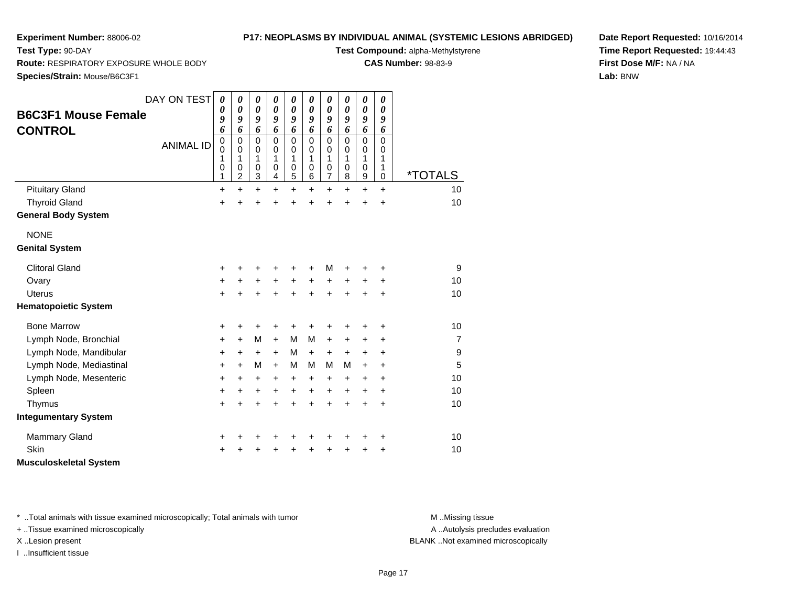**Test Type:** 90-DAY

## **P17: NEOPLASMS BY INDIVIDUAL ANIMAL (SYSTEMIC LESIONS ABRIDGED)**

**Test Compound:** alpha-Methylstyrene

**CAS Number:** 98-83-9

**Date Report Requested:** 10/16/2014**Time Report Requested:** 19:44:43**First Dose M/F:** NA / NA**Lab:** BNW

**Route:** RESPIRATORY EXPOSURE WHOLE BODY

**Species/Strain:** Mouse/B6C3F1

|                               | DAY ON TEST      | 0           | 0              | 0                     | 0                     | 0                     | 0                     | 0                     | 0                 | 0                     | 0           |                       |
|-------------------------------|------------------|-------------|----------------|-----------------------|-----------------------|-----------------------|-----------------------|-----------------------|-------------------|-----------------------|-------------|-----------------------|
| <b>B6C3F1 Mouse Female</b>    |                  | 0           | 0              | $\boldsymbol{\theta}$ | $\boldsymbol{\theta}$ | $\boldsymbol{\theta}$ | $\boldsymbol{\theta}$ | 0                     | 0                 | $\boldsymbol{\theta}$ | 0           |                       |
|                               |                  | 9<br>6      | 9<br>6         | 9<br>6                | 9<br>6                | 9<br>6                | 9<br>6                | 9<br>6                | 9<br>6            | 9<br>6                | 9<br>6      |                       |
| <b>CONTROL</b>                |                  | $\mathbf 0$ | $\mathbf 0$    | $\mathbf 0$           | $\mathbf 0$           | $\mathbf 0$           | $\mathbf 0$           | $\mathsf 0$           | $\mathbf 0$       | $\mathbf 0$           | $\mathbf 0$ |                       |
|                               | <b>ANIMAL ID</b> | $\mathbf 0$ | $\mathbf 0$    | 0                     | $\mathbf 0$           | $\mathbf 0$           | $\mathbf 0$           | $\boldsymbol{0}$      | 0                 | $\pmb{0}$             | 0           |                       |
|                               |                  | 1<br>0      | 1<br>0         | 1<br>$\mathbf 0$      | 1<br>0                | 1<br>$\pmb{0}$        | 1<br>0                | 1<br>$\boldsymbol{0}$ | $\mathbf{1}$<br>0 | 1<br>$\mathbf 0$      | 1<br>1      |                       |
|                               |                  | 1           | $\overline{c}$ | 3                     | 4                     | 5                     | 6                     | $\overline{7}$        | 8                 | $\boldsymbol{9}$      | 0           | <i><b>*TOTALS</b></i> |
| <b>Pituitary Gland</b>        |                  | $\ddot{}$   | $\ddot{}$      | $\ddot{}$             | $\ddot{}$             | $\ddot{}$             | $\ddot{}$             | $\ddot{}$             | $+$               | $\ddot{}$             | $\ddot{}$   | 10                    |
| <b>Thyroid Gland</b>          |                  | $\ddot{}$   | $\ddot{}$      | +                     | $\ddot{}$             | $\ddot{}$             |                       | $\ddot{}$             | $\ddot{}$         | $\ddot{}$             | $\ddot{}$   | 10                    |
| <b>General Body System</b>    |                  |             |                |                       |                       |                       |                       |                       |                   |                       |             |                       |
| <b>NONE</b>                   |                  |             |                |                       |                       |                       |                       |                       |                   |                       |             |                       |
| <b>Genital System</b>         |                  |             |                |                       |                       |                       |                       |                       |                   |                       |             |                       |
| <b>Clitoral Gland</b>         |                  | $\ddot{}$   | +              | +                     |                       |                       |                       | M                     |                   |                       | +           | 9                     |
| Ovary                         |                  | +           | $\ddot{}$      | $\ddot{}$             | $\ddot{}$             | $\ddot{}$             | $\ddot{}$             | +                     | $\ddot{}$         | $\ddot{}$             | +           | 10                    |
| Uterus                        |                  | $\ddot{}$   | +              | $\ddot{}$             | ÷                     | ÷                     |                       | $\ddot{}$             | ÷                 | $\ddot{}$             | $\ddot{}$   | 10                    |
| <b>Hematopoietic System</b>   |                  |             |                |                       |                       |                       |                       |                       |                   |                       |             |                       |
| <b>Bone Marrow</b>            |                  | +           | +              | +                     | +                     | +                     | +                     | +                     | +                 | +                     | +           | 10                    |
| Lymph Node, Bronchial         |                  | $\ddot{}$   | $\ddot{}$      | M                     | $\ddot{}$             | M                     | M                     | $\ddot{}$             | $\ddot{}$         | +                     | $\ddot{}$   | $\overline{7}$        |
| Lymph Node, Mandibular        |                  | +           | +              | $\ddot{}$             | $\ddot{}$             | M                     | $\ddot{}$             | $\ddot{}$             | $\ddot{}$         | +                     | +           | 9                     |
| Lymph Node, Mediastinal       |                  | $\ddot{}$   | $+$            | M                     | $+$                   | M                     | M                     | м                     | м                 | $\ddot{}$             | $\ddot{}$   | 5                     |
| Lymph Node, Mesenteric        |                  | +           | +              | +                     | $\ddot{}$             | +                     | $\ddot{}$             | $\pm$                 | $\ddot{}$         | +                     | $\ddot{}$   | 10                    |
| Spleen                        |                  | $\ddot{}$   | +              | $\ddot{}$             | $\ddot{}$             | $\ddot{}$             | $\ddot{}$             | $\ddot{}$             | $\ddot{}$         | $\ddot{}$             | $\ddot{}$   | 10                    |
| Thymus                        |                  | $\ddot{}$   | $\ddot{}$      | $\ddot{}$             | $\ddot{}$             | $\ddot{}$             | $\ddot{}$             | $\ddot{}$             | $\ddot{}$         | $\ddot{}$             | $\ddot{}$   | 10                    |
| <b>Integumentary System</b>   |                  |             |                |                       |                       |                       |                       |                       |                   |                       |             |                       |
| <b>Mammary Gland</b>          |                  | +           |                | +                     | +                     |                       |                       |                       | +                 | +                     | +           | 10                    |
| Skin                          |                  | ÷           |                | +                     |                       |                       |                       | +                     | +                 | +                     | +           | 10                    |
| <b>Musculoskeletal System</b> |                  |             |                |                       |                       |                       |                       |                       |                   |                       |             |                       |

\* ..Total animals with tissue examined microscopically; Total animals with tumor **M** . Missing tissue M ..Missing tissue

+ ..Tissue examined microscopically

I ..Insufficient tissue

A ..Autolysis precludes evaluation

X ..Lesion present BLANK ..Not examined microscopically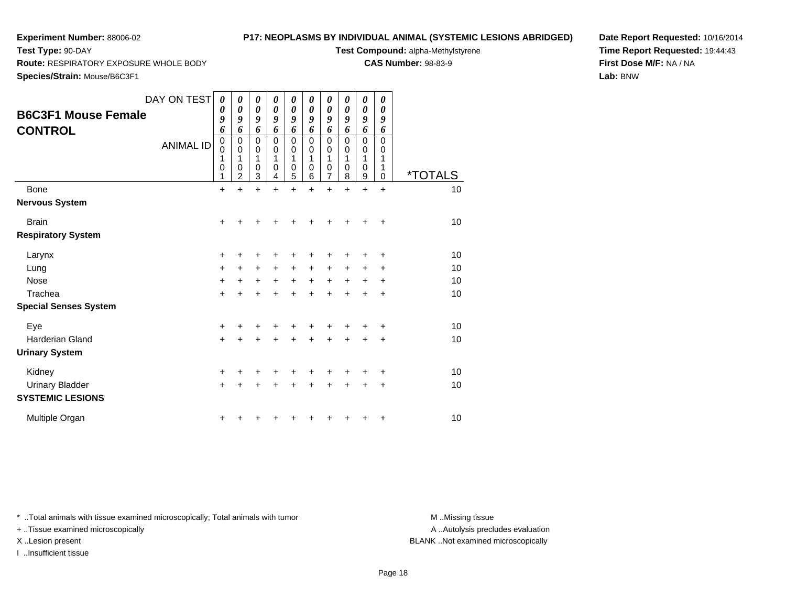**Test Type:** 90-DAY

# **P17: NEOPLASMS BY INDIVIDUAL ANIMAL (SYSTEMIC LESIONS ABRIDGED)**

**Test Compound:** alpha-Methylstyrene

**CAS Number:** 98-83-9

**Date Report Requested:** 10/16/2014**Time Report Requested:** 19:44:43**First Dose M/F:** NA / NA**Lab:** BNW

| <b>Route:</b> RESPIRATORY EXPOSURE WHOLE BODY |  |  |
|-----------------------------------------------|--|--|
|                                               |  |  |

**Species/Strain:** Mouse/B6C3F1

| <b>B6C3F1 Mouse Female</b><br><b>CONTROL</b>      | DAY ON TEST<br><b>ANIMAL ID</b> | 0<br>$\boldsymbol{\theta}$<br>9<br>6<br>$\mathbf 0$<br>0<br>1<br>0<br>1 | 0<br>0<br>9<br>6<br>$\mathbf 0$<br>0<br>1<br>0<br>$\overline{2}$ | 0<br>0<br>9<br>6<br>$\mathbf 0$<br>0<br>1<br>0<br>3 | 0<br>0<br>9<br>6<br>0<br>0<br>1<br>0<br>4 | 0<br>0<br>9<br>6<br>0<br>0<br>1<br>0<br>5 | 0<br>0<br>9<br>6<br>$\mathbf 0$<br>0<br>1<br>0<br>6 | 0<br>0<br>9<br>6<br>$\mathbf 0$<br>0<br>1<br>0<br>7 | 0<br>0<br>9<br>6<br>$\mathbf 0$<br>0<br>1<br>$\mathbf 0$<br>8 | 0<br>0<br>9<br>6<br>$\mathbf 0$<br>$\mathbf 0$<br>1<br>$\mathbf 0$<br>9 | 0<br>0<br>9<br>6<br>$\Omega$<br>0<br>1<br>1<br>$\mathbf 0$ | <i><b>*TOTALS</b></i> |
|---------------------------------------------------|---------------------------------|-------------------------------------------------------------------------|------------------------------------------------------------------|-----------------------------------------------------|-------------------------------------------|-------------------------------------------|-----------------------------------------------------|-----------------------------------------------------|---------------------------------------------------------------|-------------------------------------------------------------------------|------------------------------------------------------------|-----------------------|
| Bone                                              |                                 | $\ddot{}$                                                               | $\ddot{}$                                                        | $\ddot{}$                                           | $\ddot{}$                                 | $\ddot{}$                                 | $\ddot{}$                                           | $\ddot{}$                                           | $\ddot{}$                                                     | $\ddot{}$                                                               | $\ddot{}$                                                  | 10                    |
| <b>Nervous System</b>                             |                                 |                                                                         |                                                                  |                                                     |                                           |                                           |                                                     |                                                     |                                                               |                                                                         |                                                            |                       |
| <b>Brain</b>                                      |                                 | $\pm$                                                                   |                                                                  | +                                                   |                                           |                                           |                                                     |                                                     |                                                               |                                                                         | $\ddot{}$                                                  | 10                    |
| <b>Respiratory System</b>                         |                                 |                                                                         |                                                                  |                                                     |                                           |                                           |                                                     |                                                     |                                                               |                                                                         |                                                            |                       |
| Larynx                                            |                                 | +                                                                       |                                                                  | +                                                   |                                           | +                                         |                                                     |                                                     |                                                               |                                                                         | ٠                                                          | 10                    |
| Lung                                              |                                 | $\ddot{}$                                                               | $\pm$                                                            | $\ddot{}$                                           | $\ddot{}$                                 | +                                         | $\ddot{}$                                           | $\pm$                                               | $\ddot{}$                                                     | $\ddot{}$                                                               | ÷                                                          | 10                    |
| <b>Nose</b>                                       |                                 | $\ddot{}$                                                               | +                                                                | +                                                   | $\ddot{}$                                 | $\ddot{}$                                 | $\ddot{}$                                           | +                                                   | $\ddot{}$                                                     | $\ddot{}$                                                               | +                                                          | 10                    |
| Trachea                                           |                                 | $\ddot{}$                                                               |                                                                  | +                                                   |                                           | +                                         | +                                                   | +                                                   | ÷                                                             | ÷                                                                       | +                                                          | 10                    |
| <b>Special Senses System</b>                      |                                 |                                                                         |                                                                  |                                                     |                                           |                                           |                                                     |                                                     |                                                               |                                                                         |                                                            |                       |
| Eye                                               |                                 | +                                                                       |                                                                  |                                                     |                                           |                                           |                                                     |                                                     |                                                               |                                                                         | $\ddot{}$                                                  | 10                    |
| <b>Harderian Gland</b>                            |                                 | $+$                                                                     |                                                                  | +                                                   | +                                         | $\ddot{}$                                 | $\ddot{}$                                           | +                                                   | $\ddot{}$                                                     | +                                                                       | +                                                          | 10                    |
| <b>Urinary System</b>                             |                                 |                                                                         |                                                                  |                                                     |                                           |                                           |                                                     |                                                     |                                                               |                                                                         |                                                            |                       |
| Kidney                                            |                                 | +                                                                       |                                                                  |                                                     |                                           |                                           |                                                     |                                                     |                                                               |                                                                         | +                                                          | 10                    |
| <b>Urinary Bladder</b><br><b>SYSTEMIC LESIONS</b> |                                 | $\ddot{}$                                                               |                                                                  |                                                     |                                           | +                                         | +                                                   | +                                                   | $\ddot{}$                                                     | +                                                                       | +                                                          | 10                    |
| Multiple Organ                                    |                                 | +                                                                       |                                                                  |                                                     |                                           |                                           |                                                     |                                                     |                                                               |                                                                         | +                                                          | 10                    |

\* ..Total animals with tissue examined microscopically; Total animals with tumor **M** . Missing tissue M ..Missing tissue

+ ..Tissue examined microscopically

I ..Insufficient tissue

A ..Autolysis precludes evaluation

X ..Lesion present BLANK ..Not examined microscopically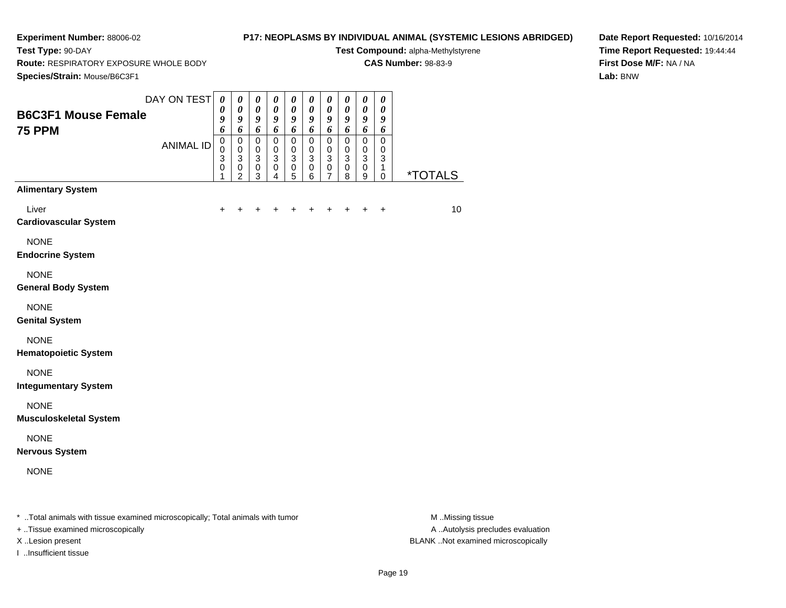**Test Type:** 90-DAY

## **P17: NEOPLASMS BY INDIVIDUAL ANIMAL (SYSTEMIC LESIONS ABRIDGED)**

**Test Compound:** alpha-Methylstyrene**CAS Number:** 98-83-9

**Route:** RESPIRATORY EXPOSURE WHOLE BODY

**Species/Strain:** Mouse/B6C3F1

**Date Report Requested:** 10/16/2014**Time Report Requested:** 19:44:44**First Dose M/F:** NA / NA**Lab:** BNW

| Species/Strain: Mouse/B6C3F1                                                   |                  |                                                   |                                                          |                                                   |                                                   |                                                          |                                                                  |                                                                  |                                         |                                                          |                                        |                       |
|--------------------------------------------------------------------------------|------------------|---------------------------------------------------|----------------------------------------------------------|---------------------------------------------------|---------------------------------------------------|----------------------------------------------------------|------------------------------------------------------------------|------------------------------------------------------------------|-----------------------------------------|----------------------------------------------------------|----------------------------------------|-----------------------|
| <b>B6C3F1 Mouse Female</b><br><b>75 PPM</b>                                    | DAY ON TEST      | $\boldsymbol{\theta}$<br>0<br>9<br>6              | $\boldsymbol{\theta}$<br>$\boldsymbol{\theta}$<br>9<br>6 | $\pmb{\theta}$<br>$\boldsymbol{\theta}$<br>9<br>6 | $\pmb{\theta}$<br>$\boldsymbol{\theta}$<br>9<br>6 | $\boldsymbol{\theta}$<br>$\boldsymbol{\theta}$<br>9<br>6 | $\boldsymbol{\theta}$<br>$\boldsymbol{\theta}$<br>9<br>$\pmb{6}$ | $\pmb{\theta}$<br>$\boldsymbol{\theta}$<br>$\boldsymbol{g}$<br>6 | 0<br>$\pmb{\theta}$<br>9<br>6           | $\pmb{\theta}$<br>$\pmb{\theta}$<br>9<br>6               | $\pmb{\theta}$<br>0<br>9<br>6          |                       |
|                                                                                | <b>ANIMAL ID</b> | $\mathbf 0$<br>$\pmb{0}$<br>3<br>$\mathbf 0$<br>1 | 0<br>$\pmb{0}$<br>3<br>$\pmb{0}$<br>$\overline{2}$       | 0<br>$\mathbf 0$<br>$\,$ 3 $\,$<br>$\pmb{0}$<br>3 | 0<br>$\mathbf 0$<br>3<br>$\pmb{0}$<br>4           | 0<br>$\pmb{0}$<br>$\mathbf{3}$<br>$\pmb{0}$<br>5         | 0<br>0<br>3<br>$\pmb{0}$<br>6                                    | 0<br>0<br>3<br>$\mathbf 0$<br>7                                  | $\pmb{0}$<br>0<br>3<br>$\mathsf 0$<br>8 | $\pmb{0}$<br>$\mathbf 0$<br>$\sqrt{3}$<br>$\pmb{0}$<br>9 | 0<br>$\mathbf 0$<br>3<br>1<br>$\Omega$ | <i><b>*TOTALS</b></i> |
| <b>Alimentary System</b>                                                       |                  |                                                   |                                                          |                                                   |                                                   |                                                          |                                                                  |                                                                  |                                         |                                                          |                                        |                       |
| Liver<br><b>Cardiovascular System</b>                                          |                  | +                                                 |                                                          |                                                   |                                                   |                                                          |                                                                  | +                                                                | ٠                                       | $\ddot{}$                                                | $\ddot{}$                              | 10                    |
| <b>NONE</b><br><b>Endocrine System</b>                                         |                  |                                                   |                                                          |                                                   |                                                   |                                                          |                                                                  |                                                                  |                                         |                                                          |                                        |                       |
| <b>NONE</b><br><b>General Body System</b>                                      |                  |                                                   |                                                          |                                                   |                                                   |                                                          |                                                                  |                                                                  |                                         |                                                          |                                        |                       |
| <b>NONE</b><br><b>Genital System</b>                                           |                  |                                                   |                                                          |                                                   |                                                   |                                                          |                                                                  |                                                                  |                                         |                                                          |                                        |                       |
| <b>NONE</b><br><b>Hematopoietic System</b>                                     |                  |                                                   |                                                          |                                                   |                                                   |                                                          |                                                                  |                                                                  |                                         |                                                          |                                        |                       |
| <b>NONE</b><br><b>Integumentary System</b>                                     |                  |                                                   |                                                          |                                                   |                                                   |                                                          |                                                                  |                                                                  |                                         |                                                          |                                        |                       |
| <b>NONE</b><br><b>Musculoskeletal System</b>                                   |                  |                                                   |                                                          |                                                   |                                                   |                                                          |                                                                  |                                                                  |                                         |                                                          |                                        |                       |
| <b>NONE</b><br><b>Nervous System</b>                                           |                  |                                                   |                                                          |                                                   |                                                   |                                                          |                                                                  |                                                                  |                                         |                                                          |                                        |                       |
| <b>NONE</b>                                                                    |                  |                                                   |                                                          |                                                   |                                                   |                                                          |                                                                  |                                                                  |                                         |                                                          |                                        |                       |
| * Total animals with tissue examined microscopically; Total animals with tumor |                  |                                                   |                                                          |                                                   |                                                   |                                                          |                                                                  |                                                                  |                                         |                                                          |                                        | M Missing tissue      |

+ ..Tissue examined microscopically

I ..Insufficient tissue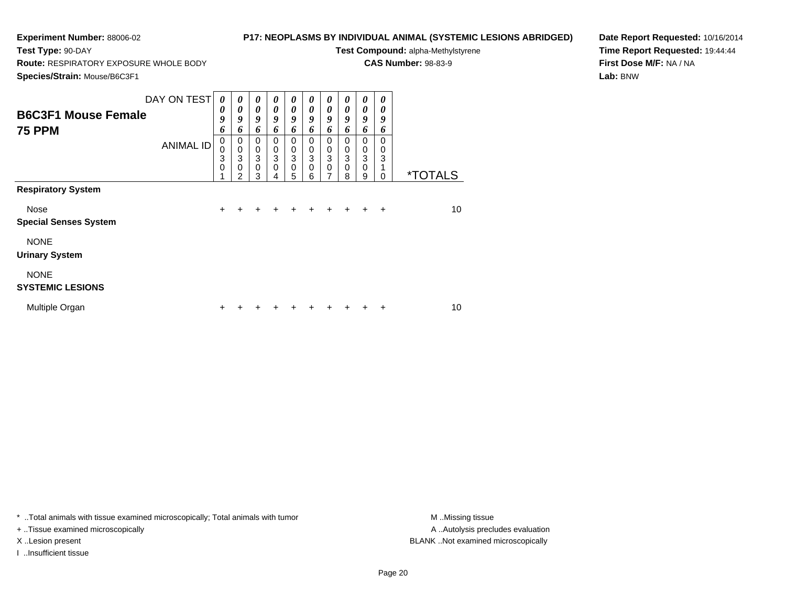**Test Type:** 90-DAY

## **P17: NEOPLASMS BY INDIVIDUAL ANIMAL (SYSTEMIC LESIONS ABRIDGED)**

**Test Compound:** alpha-Methylstyrene

**CAS Number:** 98-83-9

**Species/Strain:** Mouse/B6C3F1

**Route:** RESPIRATORY EXPOSURE WHOLE BODY

**Date Report Requested:** 10/16/2014**Time Report Requested:** 19:44:44**First Dose M/F:** NA / NA**Lab:** BNW

| <b>B6C3F1 Mouse Female</b><br><b>75 PPM</b> | DAY ON TEST<br><b>ANIMAL ID</b> | $\boldsymbol{\theta}$<br>$\boldsymbol{\theta}$<br>9<br>6<br>0<br>$\pmb{0}$ | 0<br>0<br>9<br>6<br>0<br>$\mathbf 0$ | 0<br>$\boldsymbol{\theta}$<br>9<br>6<br>$\Omega$<br>0 | 0<br>0<br>9<br>6<br>0<br>0 | 0<br>0<br>9<br>6<br>0<br>$\boldsymbol{0}$ | 0<br>0<br>9<br>6<br>0<br>$\mathbf 0$ | 0<br>$\boldsymbol{\theta}$<br>9<br>6<br>0<br>0 | 0<br>$\boldsymbol{\theta}$<br>9<br>6<br>$\Omega$<br>0 | 0<br>0<br>9<br>6<br>0<br>0 | 0<br>0<br>9<br>6<br>$\Omega$<br>0 |                       |
|---------------------------------------------|---------------------------------|----------------------------------------------------------------------------|--------------------------------------|-------------------------------------------------------|----------------------------|-------------------------------------------|--------------------------------------|------------------------------------------------|-------------------------------------------------------|----------------------------|-----------------------------------|-----------------------|
|                                             |                                 | 3<br>$\mathbf 0$                                                           | 3<br>$\mathbf 0$<br>$\overline{2}$   | 3<br>$\mathbf 0$<br>3                                 | 3<br>0<br>4                | $\overline{3}$<br>$\mathbf 0$<br>5        | 3<br>0<br>6                          | 3<br>$\mathbf 0$<br>7                          | 3<br>$\mathbf 0$<br>8                                 | 3<br>$\mathbf 0$<br>9      | 3<br>$\Omega$                     | <i><b>*TOTALS</b></i> |
| <b>Respiratory System</b>                   |                                 |                                                                            |                                      |                                                       |                            |                                           |                                      |                                                |                                                       |                            |                                   |                       |
| <b>Nose</b><br><b>Special Senses System</b> |                                 | $+$                                                                        |                                      | +                                                     | +                          |                                           |                                      |                                                | $\ddot{}$                                             | $+$                        | $\overline{+}$                    | 10                    |
| <b>NONE</b><br><b>Urinary System</b>        |                                 |                                                                            |                                      |                                                       |                            |                                           |                                      |                                                |                                                       |                            |                                   |                       |
| <b>NONE</b><br><b>SYSTEMIC LESIONS</b>      |                                 |                                                                            |                                      |                                                       |                            |                                           |                                      |                                                |                                                       |                            |                                   |                       |
| Multiple Organ                              |                                 | ٠                                                                          |                                      |                                                       |                            |                                           |                                      |                                                |                                                       |                            | ÷                                 | 10                    |

\* ..Total animals with tissue examined microscopically; Total animals with tumor **M** . Missing tissue M ..Missing tissue

+ ..Tissue examined microscopically

I ..Insufficient tissue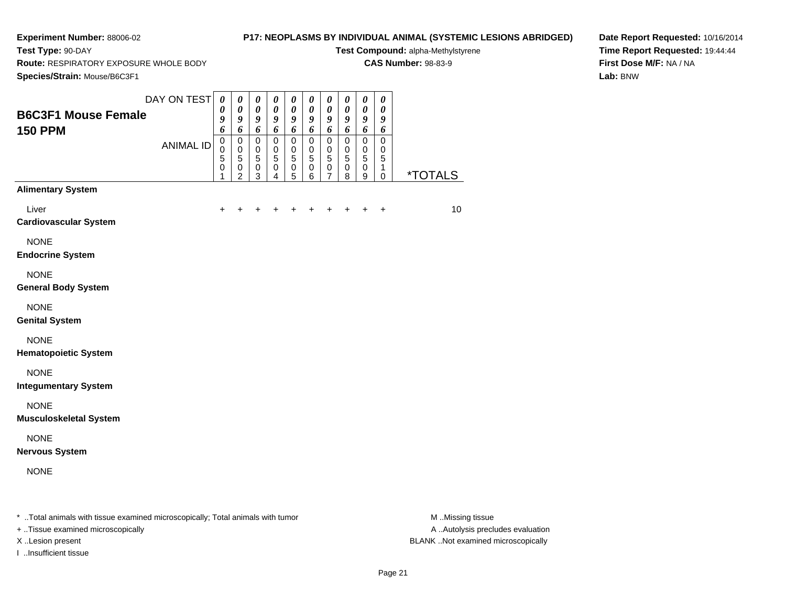**Test Type:** 90-DAY

## **P17: NEOPLASMS BY INDIVIDUAL ANIMAL (SYSTEMIC LESIONS ABRIDGED)**

**Test Compound:** alpha-Methylstyrene**CAS Number:** 98-83-9

**Route:** RESPIRATORY EXPOSURE WHOLE BODY

**Species/Strain:** Mouse/B6C3F1

**Date Report Requested:** 10/16/2014**Time Report Requested:** 19:44:44**First Dose M/F:** NA / NA**Lab:** BNW

| <b>B6C3F1 Mouse Female</b><br><b>150 PPM</b> | DAY ON TEST      | $\pmb{\theta}$<br>0<br>9<br>6 | $\boldsymbol{\theta}$<br>$\boldsymbol{\theta}$<br>9<br>6     | $\pmb{\theta}$<br>$\pmb{\theta}$<br>9<br>6                     | 0<br>$\boldsymbol{\theta}$<br>9<br>6                       | 0<br>$\boldsymbol{\theta}$<br>9<br>6                         | $\boldsymbol{\theta}$<br>$\pmb{\theta}$<br>9<br>6                  | $\pmb{\theta}$<br>$\pmb{\theta}$<br>9<br>6                     | $\pmb{\theta}$<br>$\pmb{\theta}$<br>9<br>6                   | 0<br>$\pmb{\theta}$<br>9<br>6                      | 0<br>$\pmb{\theta}$<br>9<br>6                   |                       |
|----------------------------------------------|------------------|-------------------------------|--------------------------------------------------------------|----------------------------------------------------------------|------------------------------------------------------------|--------------------------------------------------------------|--------------------------------------------------------------------|----------------------------------------------------------------|--------------------------------------------------------------|----------------------------------------------------|-------------------------------------------------|-----------------------|
|                                              | <b>ANIMAL ID</b> | $\pmb{0}$<br>0<br>5<br>0<br>1 | $\mathsf 0$<br>$\mathbf 0$<br>5<br>$\,0\,$<br>$\overline{c}$ | $\mathsf 0$<br>$\mathbf 0$<br>$\overline{5}$<br>$\pmb{0}$<br>3 | $\pmb{0}$<br>$\mathbf 0$<br>$\overline{5}$<br>$\,0\,$<br>4 | $\pmb{0}$<br>$\pmb{0}$<br>$\overline{5}$<br>$\mathbf 0$<br>5 | $\mathsf 0$<br>$\mathbf 0$<br>$\overline{5}$<br>$\pmb{0}$<br>$\,6$ | $\mathbf 0$<br>$\mathbf 0$<br>$\overline{5}$<br>$\pmb{0}$<br>7 | $\pmb{0}$<br>$\pmb{0}$<br>$\overline{5}$<br>$\mathbf 0$<br>8 | $\pmb{0}$<br>$\pmb{0}$<br>$\overline{5}$<br>0<br>9 | $\mathbf 0$<br>$\,0\,$<br>5<br>1<br>$\mathbf 0$ | <i><b>*TOTALS</b></i> |
| <b>Alimentary System</b>                     |                  |                               |                                                              |                                                                |                                                            |                                                              |                                                                    |                                                                |                                                              |                                                    |                                                 |                       |
| Liver<br><b>Cardiovascular System</b>        |                  | $\ddot{}$                     | +                                                            | +                                                              | +                                                          |                                                              |                                                                    |                                                                | $\ddot{}$                                                    |                                                    | $\ddot{}$                                       | 10                    |
| <b>NONE</b><br><b>Endocrine System</b>       |                  |                               |                                                              |                                                                |                                                            |                                                              |                                                                    |                                                                |                                                              |                                                    |                                                 |                       |
| <b>NONE</b><br><b>General Body System</b>    |                  |                               |                                                              |                                                                |                                                            |                                                              |                                                                    |                                                                |                                                              |                                                    |                                                 |                       |
| <b>NONE</b><br><b>Genital System</b>         |                  |                               |                                                              |                                                                |                                                            |                                                              |                                                                    |                                                                |                                                              |                                                    |                                                 |                       |
| <b>NONE</b><br><b>Hematopoietic System</b>   |                  |                               |                                                              |                                                                |                                                            |                                                              |                                                                    |                                                                |                                                              |                                                    |                                                 |                       |
| <b>NONE</b><br><b>Integumentary System</b>   |                  |                               |                                                              |                                                                |                                                            |                                                              |                                                                    |                                                                |                                                              |                                                    |                                                 |                       |
| <b>NONE</b><br><b>Musculoskeletal System</b> |                  |                               |                                                              |                                                                |                                                            |                                                              |                                                                    |                                                                |                                                              |                                                    |                                                 |                       |
| <b>NONE</b><br><b>Nervous System</b>         |                  |                               |                                                              |                                                                |                                                            |                                                              |                                                                    |                                                                |                                                              |                                                    |                                                 |                       |
|                                              |                  |                               |                                                              |                                                                |                                                            |                                                              |                                                                    |                                                                |                                                              |                                                    |                                                 |                       |

+ ..Tissue examined microscopically

I ..Insufficient tissue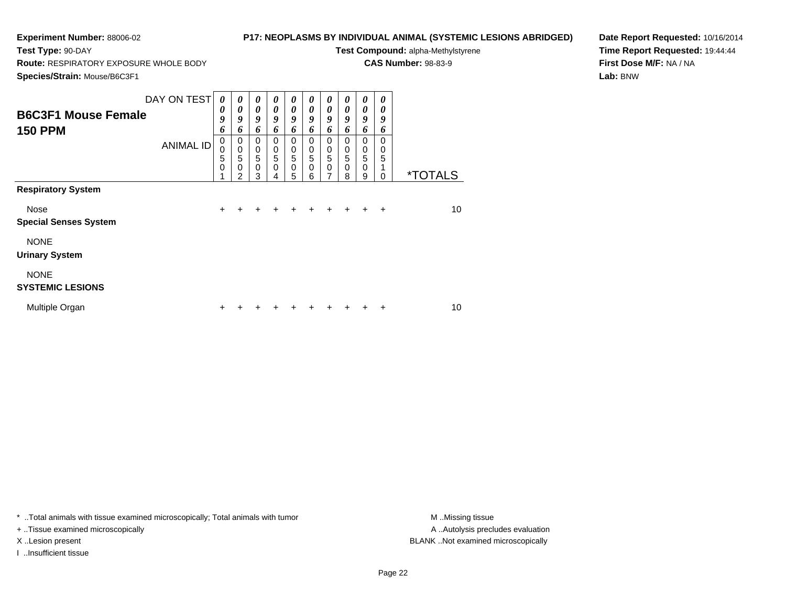**Test Type:** 90-DAY

## **P17: NEOPLASMS BY INDIVIDUAL ANIMAL (SYSTEMIC LESIONS ABRIDGED)**

**Test Compound:** alpha-Methylstyrene

**CAS Number:** 98-83-9

**Species/Strain:** Mouse/B6C3F1

**Route:** RESPIRATORY EXPOSURE WHOLE BODY

**Date Report Requested:** 10/16/2014**Time Report Requested:** 19:44:44**First Dose M/F:** NA / NA**Lab:** BNW

| <b>B6C3F1 Mouse Female</b><br><b>150 PPM</b> | DAY ON TEST<br><b>ANIMAL ID</b> | $\boldsymbol{\theta}$<br>0<br>9<br>6<br>0<br>0<br>5<br>$\mathbf 0$ | $\boldsymbol{\theta}$<br>0<br>9<br>6<br>0<br>$\mathbf 0$<br>5<br>0 | $\boldsymbol{\theta}$<br>0<br>9<br>6<br>0<br>$\begin{array}{c} 0 \\ 5 \end{array}$<br>$\mathbf 0$ | 0<br>0<br>9<br>6<br>0<br>0<br>5<br>0 | $\theta$<br>0<br>9<br>6<br>0<br>$\begin{array}{c} 0 \\ 5 \end{array}$<br>$\mathbf 0$ | 0<br>$\theta$<br>9<br>6<br>0<br>0<br>5<br>0 | 0<br>0<br>9<br>6<br>0<br>$\begin{smallmatrix}0\\5\end{smallmatrix}$<br>$\mathbf 0$ | 0<br>0<br>9<br>6<br>$\Omega$<br>0<br>5<br>0 | 0<br>$\boldsymbol{\theta}$<br>9<br>6<br>0<br>$\pmb{0}$<br>$\overline{5}$<br>$\mathbf 0$ | 0<br>0<br>9<br>6<br>0<br>0<br>5<br>1 |                       |
|----------------------------------------------|---------------------------------|--------------------------------------------------------------------|--------------------------------------------------------------------|---------------------------------------------------------------------------------------------------|--------------------------------------|--------------------------------------------------------------------------------------|---------------------------------------------|------------------------------------------------------------------------------------|---------------------------------------------|-----------------------------------------------------------------------------------------|--------------------------------------|-----------------------|
|                                              |                                 |                                                                    | $\mathfrak{p}$                                                     | 3                                                                                                 | 4                                    | 5                                                                                    | 6                                           | $\overline{ }$                                                                     | 8                                           | 9                                                                                       | 0                                    | <i><b>*TOTALS</b></i> |
| <b>Respiratory System</b>                    |                                 |                                                                    |                                                                    |                                                                                                   |                                      |                                                                                      |                                             |                                                                                    |                                             |                                                                                         |                                      |                       |
| Nose                                         |                                 | $\ddot{}$                                                          | +                                                                  | +                                                                                                 | $\div$                               | ÷                                                                                    | $\ddot{}$                                   | $\div$                                                                             | $+$                                         | $\ddot{}$                                                                               | $\ddot{}$                            | 10                    |
| <b>Special Senses System</b>                 |                                 |                                                                    |                                                                    |                                                                                                   |                                      |                                                                                      |                                             |                                                                                    |                                             |                                                                                         |                                      |                       |
| <b>NONE</b>                                  |                                 |                                                                    |                                                                    |                                                                                                   |                                      |                                                                                      |                                             |                                                                                    |                                             |                                                                                         |                                      |                       |
| <b>Urinary System</b>                        |                                 |                                                                    |                                                                    |                                                                                                   |                                      |                                                                                      |                                             |                                                                                    |                                             |                                                                                         |                                      |                       |
| <b>NONE</b><br><b>SYSTEMIC LESIONS</b>       |                                 |                                                                    |                                                                    |                                                                                                   |                                      |                                                                                      |                                             |                                                                                    |                                             |                                                                                         |                                      |                       |
| Multiple Organ                               |                                 | ٠                                                                  |                                                                    |                                                                                                   |                                      |                                                                                      |                                             |                                                                                    |                                             |                                                                                         |                                      | 10                    |

\* ..Total animals with tissue examined microscopically; Total animals with tumor **M** . Missing tissue M ..Missing tissue

+ ..Tissue examined microscopically

I ..Insufficient tissue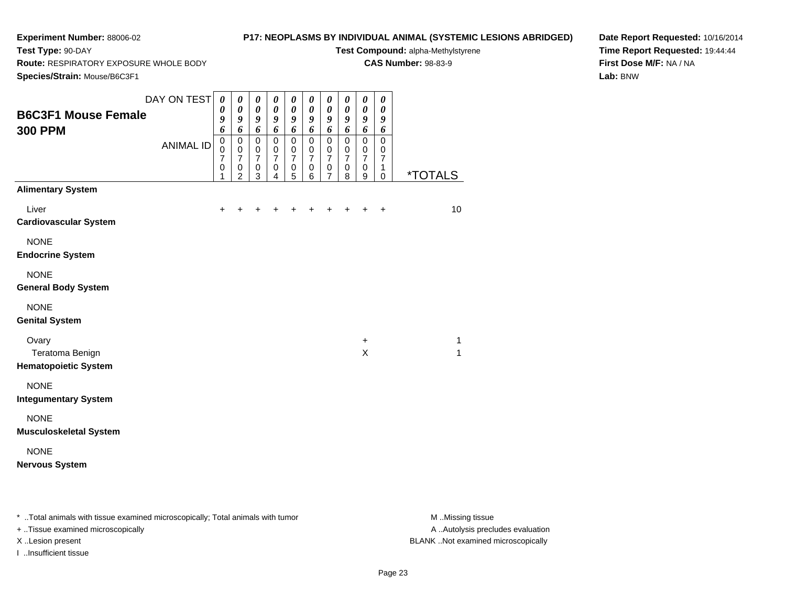**Test Type:** 90-DAY

## **P17: NEOPLASMS BY INDIVIDUAL ANIMAL (SYSTEMIC LESIONS ABRIDGED)**

**Test Compound:** alpha-Methylstyrene**CAS Number:** 98-83-9

**Route:** RESPIRATORY EXPOSURE WHOLE BODY

**Species/Strain:** Mouse/B6C3F1

**Date Report Requested:** 10/16/2014**Time Report Requested:** 19:44:44**First Dose M/F:** NA / NA**Lab:** BNW

| <b>B6C3F1 Mouse Female</b><br><b>300 PPM</b>            | DAY ON TEST<br><b>ANIMAL ID</b> | 0<br>$\boldsymbol{\theta}$<br>9<br>6<br>$\mathbf 0$<br>$\mathbf 0$<br>$\overline{7}$<br>$\mathbf 0$<br>1 | 0<br>$\boldsymbol{\theta}$<br>9<br>6<br>$\pmb{0}$<br>$\mathbf 0$<br>$\overline{7}$<br>$\pmb{0}$<br>$\overline{2}$ | 0<br>$\boldsymbol{\theta}$<br>9<br>6<br>$\mathbf 0$<br>$\pmb{0}$<br>$\overline{7}$<br>$\pmb{0}$<br>3 | 0<br>$\boldsymbol{\theta}$<br>9<br>6<br>$\pmb{0}$<br>$\mathbf 0$<br>$\overline{7}$<br>0<br>$\overline{4}$ | 0<br>$\boldsymbol{\theta}$<br>9<br>6<br>$\pmb{0}$<br>$\mathbf 0$<br>$\overline{7}$<br>0<br>5 | 0<br>$\boldsymbol{\theta}$<br>9<br>6<br>$\pmb{0}$<br>$\mathbf 0$<br>$\overline{7}$<br>0<br>6 | 0<br>$\pmb{\theta}$<br>9<br>6<br>$\pmb{0}$<br>$\mathbf 0$<br>$\overline{7}$<br>0<br>$\overline{7}$ | 0<br>$\pmb{\theta}$<br>9<br>6<br>$\mathbf 0$<br>$\mathbf 0$<br>$\overline{7}$<br>$\mathbf 0$<br>8 | 0<br>$\boldsymbol{\theta}$<br>9<br>6<br>$\mathbf 0$<br>$\mathbf 0$<br>$\overline{7}$<br>$\mathbf 0$<br>$\boldsymbol{9}$ | 0<br>0<br>9<br>6<br>$\mathbf 0$<br>$\mathbf 0$<br>$\overline{7}$<br>$\mathbf{1}$<br>$\mathbf 0$ | <i><b>*TOTALS</b></i> |
|---------------------------------------------------------|---------------------------------|----------------------------------------------------------------------------------------------------------|-------------------------------------------------------------------------------------------------------------------|------------------------------------------------------------------------------------------------------|-----------------------------------------------------------------------------------------------------------|----------------------------------------------------------------------------------------------|----------------------------------------------------------------------------------------------|----------------------------------------------------------------------------------------------------|---------------------------------------------------------------------------------------------------|-------------------------------------------------------------------------------------------------------------------------|-------------------------------------------------------------------------------------------------|-----------------------|
| <b>Alimentary System</b><br>Liver                       |                                 | $\ddot{}$                                                                                                | $\ddot{}$                                                                                                         | +                                                                                                    |                                                                                                           | +                                                                                            |                                                                                              |                                                                                                    |                                                                                                   |                                                                                                                         | $\ddot{}$                                                                                       | 10                    |
| <b>Cardiovascular System</b>                            |                                 |                                                                                                          |                                                                                                                   |                                                                                                      |                                                                                                           |                                                                                              |                                                                                              |                                                                                                    |                                                                                                   |                                                                                                                         |                                                                                                 |                       |
| <b>NONE</b><br><b>Endocrine System</b>                  |                                 |                                                                                                          |                                                                                                                   |                                                                                                      |                                                                                                           |                                                                                              |                                                                                              |                                                                                                    |                                                                                                   |                                                                                                                         |                                                                                                 |                       |
| <b>NONE</b><br><b>General Body System</b>               |                                 |                                                                                                          |                                                                                                                   |                                                                                                      |                                                                                                           |                                                                                              |                                                                                              |                                                                                                    |                                                                                                   |                                                                                                                         |                                                                                                 |                       |
| <b>NONE</b><br><b>Genital System</b>                    |                                 |                                                                                                          |                                                                                                                   |                                                                                                      |                                                                                                           |                                                                                              |                                                                                              |                                                                                                    |                                                                                                   |                                                                                                                         |                                                                                                 |                       |
| Ovary<br>Teratoma Benign<br><b>Hematopoietic System</b> |                                 |                                                                                                          |                                                                                                                   |                                                                                                      |                                                                                                           |                                                                                              |                                                                                              |                                                                                                    |                                                                                                   | $\ddot{}$<br>X                                                                                                          |                                                                                                 | 1<br>1                |
| <b>NONE</b><br><b>Integumentary System</b>              |                                 |                                                                                                          |                                                                                                                   |                                                                                                      |                                                                                                           |                                                                                              |                                                                                              |                                                                                                    |                                                                                                   |                                                                                                                         |                                                                                                 |                       |
| <b>NONE</b><br><b>Musculoskeletal System</b>            |                                 |                                                                                                          |                                                                                                                   |                                                                                                      |                                                                                                           |                                                                                              |                                                                                              |                                                                                                    |                                                                                                   |                                                                                                                         |                                                                                                 |                       |
| <b>NONE</b><br><b>Nervous System</b>                    |                                 |                                                                                                          |                                                                                                                   |                                                                                                      |                                                                                                           |                                                                                              |                                                                                              |                                                                                                    |                                                                                                   |                                                                                                                         |                                                                                                 |                       |

\* ..Total animals with tissue examined microscopically; Total animals with tumor **M** . Missing tissue M ..Missing tissue

+ ..Tissue examined microscopically

I ..Insufficient tissue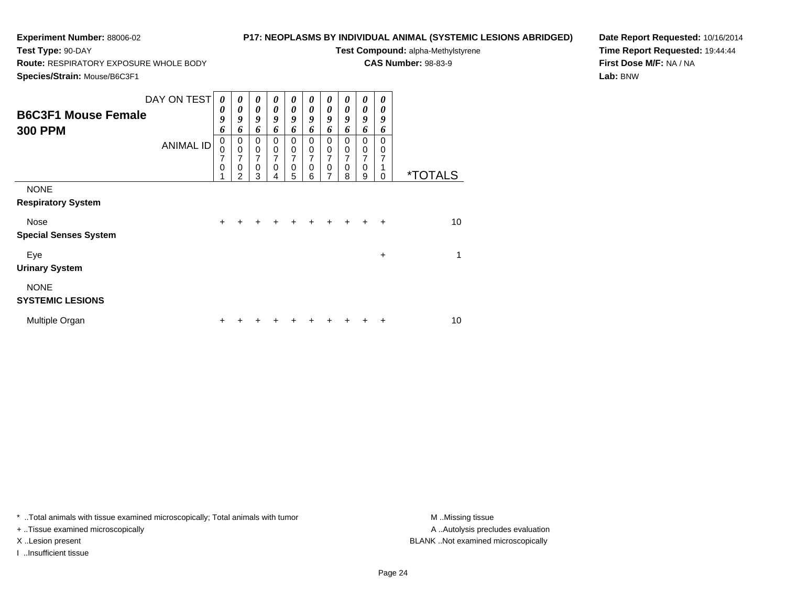**Test Type:** 90-DAY

## **P17: NEOPLASMS BY INDIVIDUAL ANIMAL (SYSTEMIC LESIONS ABRIDGED)**

**Test Compound:** alpha-Methylstyrene

**CAS Number:** 98-83-9

**Species/Strain:** Mouse/B6C3F1

**Route:** RESPIRATORY EXPOSURE WHOLE BODY

**Date Report Requested:** 10/16/2014**Time Report Requested:** 19:44:44**First Dose M/F:** NA / NA**Lab:** BNW

| <b>B6C3F1 Mouse Female</b><br><b>300 PPM</b> | DAY ON TEST<br><b>ANIMAL ID</b> | $\boldsymbol{\theta}$<br>0<br>9<br>6<br>$\pmb{0}$<br>$\mathbf 0$<br>7<br>$\mathbf 0$ | 0<br>0<br>9<br>6<br>0<br>$\mathbf 0$<br>7<br>0<br>$\overline{2}$ | 0<br>0<br>9<br>6<br>0<br>0<br>7<br>$\mathbf 0$<br>3 | 0<br>0<br>9<br>6<br>0<br>0<br>7<br>0 | 0<br>$\boldsymbol{\theta}$<br>9<br>6<br>0<br>$\pmb{0}$<br>7<br>$\mathbf 0$<br>5 | 0<br>0<br>$\boldsymbol{g}$<br>6<br>0<br>$\mathbf 0$<br>$\overline{7}$<br>$\mathbf 0$ | 0<br>0<br>9<br>6<br>0<br>$\pmb{0}$<br>7<br>$\pmb{0}$<br>7 | 0<br>0<br>9<br>6<br>$\Omega$<br>$\mathbf 0$<br>7<br>$\mathbf 0$ | 0<br>0<br>9<br>6<br>$\Omega$<br>$\mathbf 0$<br>7<br>0 | 0<br>0<br>9<br>6<br>$\Omega$<br>0<br>7<br>1 | <i><b>*TOTALS</b></i> |
|----------------------------------------------|---------------------------------|--------------------------------------------------------------------------------------|------------------------------------------------------------------|-----------------------------------------------------|--------------------------------------|---------------------------------------------------------------------------------|--------------------------------------------------------------------------------------|-----------------------------------------------------------|-----------------------------------------------------------------|-------------------------------------------------------|---------------------------------------------|-----------------------|
| <b>NONE</b><br><b>Respiratory System</b>     |                                 |                                                                                      |                                                                  |                                                     | 4                                    |                                                                                 | 6                                                                                    |                                                           | 8                                                               | 9                                                     | 0                                           |                       |
| <b>Nose</b><br><b>Special Senses System</b>  |                                 | $\pm$                                                                                |                                                                  | $\div$                                              | $\div$                               |                                                                                 | $\ddot{}$                                                                            |                                                           | $+$                                                             | $\div$                                                | $\ddot{}$                                   | 10                    |
| Eye<br><b>Urinary System</b>                 |                                 |                                                                                      |                                                                  |                                                     |                                      |                                                                                 |                                                                                      |                                                           |                                                                 |                                                       | +                                           | 1                     |
| <b>NONE</b><br><b>SYSTEMIC LESIONS</b>       |                                 |                                                                                      |                                                                  |                                                     |                                      |                                                                                 |                                                                                      |                                                           |                                                                 |                                                       |                                             |                       |
| Multiple Organ                               |                                 |                                                                                      |                                                                  |                                                     |                                      |                                                                                 |                                                                                      |                                                           |                                                                 |                                                       |                                             | 10                    |

\* ..Total animals with tissue examined microscopically; Total animals with tumor **M** . Missing tissue M ..Missing tissue

+ ..Tissue examined microscopically

I ..Insufficient tissue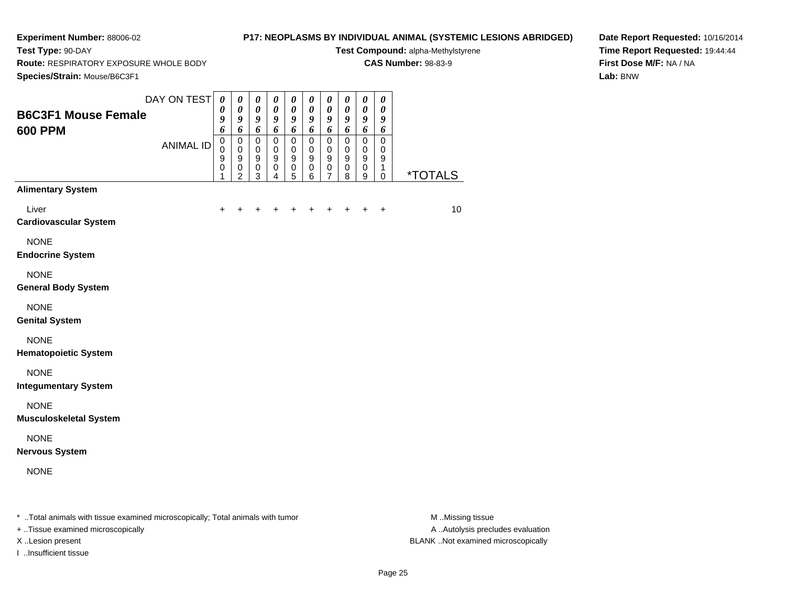**Test Type:** 90-DAY

## **P17: NEOPLASMS BY INDIVIDUAL ANIMAL (SYSTEMIC LESIONS ABRIDGED)**

**Test Compound:** alpha-Methylstyrene**CAS Number:** 98-83-9

**Route:** RESPIRATORY EXPOSURE WHOLE BODY

**Species/Strain:** Mouse/B6C3F1

**Date Report Requested:** 10/16/2014**Time Report Requested:** 19:44:44**First Dose M/F:** NA / NA**Lab:** BNW

| Species/Strain: Mouse/B6C3F1                                                   |                  |                                                          |                                                                  |                                                                         |                                                                             |                                             |                                                            |                                                   |                                                |                                                                |                                                          |                       |
|--------------------------------------------------------------------------------|------------------|----------------------------------------------------------|------------------------------------------------------------------|-------------------------------------------------------------------------|-----------------------------------------------------------------------------|---------------------------------------------|------------------------------------------------------------|---------------------------------------------------|------------------------------------------------|----------------------------------------------------------------|----------------------------------------------------------|-----------------------|
| <b>B6C3F1 Mouse Female</b><br><b>600 PPM</b>                                   | DAY ON TEST      | $\boldsymbol{\theta}$<br>$\boldsymbol{\theta}$<br>9<br>6 | $\boldsymbol{\theta}$<br>$\pmb{\theta}$<br>9<br>6                | $\boldsymbol{\theta}$<br>$\boldsymbol{\theta}$<br>9<br>$\boldsymbol{6}$ | $\pmb{\theta}$<br>$\boldsymbol{\theta}$<br>9<br>6                           | 0<br>$\boldsymbol{\theta}$<br>9<br>6        | $\pmb{\theta}$<br>$\pmb{\theta}$<br>9<br>6                 | $\boldsymbol{\theta}$<br>$\pmb{\theta}$<br>9<br>6 | 0<br>0<br>9<br>6                               | $\pmb{\theta}$<br>$\pmb{\theta}$<br>$\boldsymbol{9}$<br>6      | $\pmb{\theta}$<br>$\boldsymbol{\theta}$<br>9<br>6        |                       |
|                                                                                | <b>ANIMAL ID</b> | $\pmb{0}$<br>$\pmb{0}$<br>9<br>0<br>1                    | $\mathbf 0$<br>$\mathbf 0$<br>$\boldsymbol{9}$<br>$\pmb{0}$<br>2 | $\pmb{0}$<br>$\pmb{0}$<br>$\boldsymbol{9}$<br>$\pmb{0}$<br>3            | $\pmb{0}$<br>$\mathbf 0$<br>$\boldsymbol{9}$<br>$\pmb{0}$<br>$\overline{4}$ | $\mathbf 0$<br>$\,0\,$<br>9<br>$\,0\,$<br>5 | $\mathbf 0$<br>$\,0\,$<br>$\boldsymbol{9}$<br>$\,0\,$<br>6 | $\mathbf 0$<br>$\pmb{0}$<br>9<br>0<br>7           | $\mathbf 0$<br>0<br>$\boldsymbol{9}$<br>0<br>8 | $\mathbf 0$<br>$\pmb{0}$<br>$\boldsymbol{9}$<br>$\pmb{0}$<br>9 | $\mathbf 0$<br>$\mathbf 0$<br>$\boldsymbol{9}$<br>1<br>0 | <i><b>*TOTALS</b></i> |
| <b>Alimentary System</b>                                                       |                  |                                                          |                                                                  |                                                                         |                                                                             |                                             |                                                            |                                                   |                                                |                                                                |                                                          |                       |
| Liver<br><b>Cardiovascular System</b>                                          |                  | $\pm$                                                    | +                                                                | ٠                                                                       | ٠                                                                           |                                             | +                                                          | +                                                 | ٠                                              | $\ddot{}$                                                      | $\ddot{}$                                                | 10                    |
| <b>NONE</b><br><b>Endocrine System</b>                                         |                  |                                                          |                                                                  |                                                                         |                                                                             |                                             |                                                            |                                                   |                                                |                                                                |                                                          |                       |
| <b>NONE</b><br><b>General Body System</b>                                      |                  |                                                          |                                                                  |                                                                         |                                                                             |                                             |                                                            |                                                   |                                                |                                                                |                                                          |                       |
| <b>NONE</b><br><b>Genital System</b>                                           |                  |                                                          |                                                                  |                                                                         |                                                                             |                                             |                                                            |                                                   |                                                |                                                                |                                                          |                       |
| <b>NONE</b><br><b>Hematopoietic System</b>                                     |                  |                                                          |                                                                  |                                                                         |                                                                             |                                             |                                                            |                                                   |                                                |                                                                |                                                          |                       |
| <b>NONE</b><br><b>Integumentary System</b>                                     |                  |                                                          |                                                                  |                                                                         |                                                                             |                                             |                                                            |                                                   |                                                |                                                                |                                                          |                       |
| <b>NONE</b><br><b>Musculoskeletal System</b>                                   |                  |                                                          |                                                                  |                                                                         |                                                                             |                                             |                                                            |                                                   |                                                |                                                                |                                                          |                       |
| <b>NONE</b><br><b>Nervous System</b>                                           |                  |                                                          |                                                                  |                                                                         |                                                                             |                                             |                                                            |                                                   |                                                |                                                                |                                                          |                       |
| <b>NONE</b>                                                                    |                  |                                                          |                                                                  |                                                                         |                                                                             |                                             |                                                            |                                                   |                                                |                                                                |                                                          |                       |
| * Total animals with tissue examined microscopically; Total animals with tumor |                  |                                                          |                                                                  |                                                                         |                                                                             |                                             |                                                            |                                                   |                                                |                                                                |                                                          | M.Missing tissue      |

+ ..Tissue examined microscopically

I ..Insufficient tissue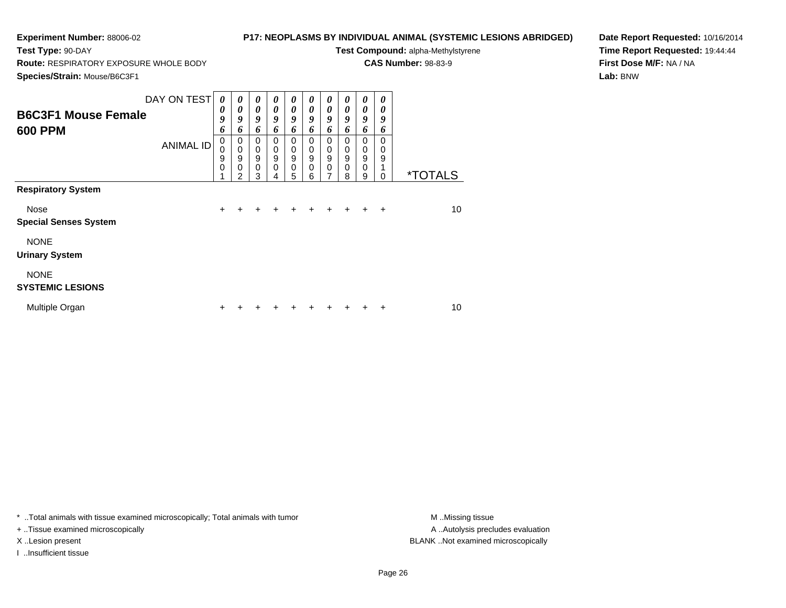**Test Type:** 90-DAY

## **P17: NEOPLASMS BY INDIVIDUAL ANIMAL (SYSTEMIC LESIONS ABRIDGED)**

**Test Compound:** alpha-Methylstyrene

**CAS Number:** 98-83-9

**Species/Strain:** Mouse/B6C3F1

**Route:** RESPIRATORY EXPOSURE WHOLE BODY

**Date Report Requested:** 10/16/2014**Time Report Requested:** 19:44:44**First Dose M/F:** NA / NA**Lab:** BNW

| <b>B6C3F1 Mouse Female</b><br><b>600 PPM</b> | DAY ON TEST<br><b>ANIMAL ID</b> | $\boldsymbol{\theta}$<br>0<br>9<br>6<br>0<br>$\mathbf 0$<br>9<br>$\mathbf 0$<br>4 | $\boldsymbol{\theta}$<br>$\boldsymbol{\theta}$<br>9<br>6<br>0<br>$\mathbf 0$<br>9<br>$\mathbf 0$ | 0<br>0<br>9<br>6<br>$\Omega$<br>0<br>$\boldsymbol{9}$<br>$\pmb{0}$ | 0<br>0<br>9<br>6<br>0<br>0<br>9<br>$\mathbf 0$ | 0<br>0<br>9<br>6<br>0<br>0<br>9<br>$\mathbf 0$ | 0<br>$\boldsymbol{\theta}$<br>9<br>6<br>$\Omega$<br>0<br>9<br>$\mathbf 0$ | 0<br>$\boldsymbol{\theta}$<br>9<br>6<br>0<br>0<br>9<br>$\mathbf 0$<br>7 | 0<br>$\boldsymbol{\theta}$<br>9<br>6<br>$\Omega$<br>0<br>9<br>$\mathbf 0$ | 0<br>0<br>9<br>6<br>0<br>0<br>9<br>$\mathbf 0$ | 0<br>0<br>9<br>6<br>0<br>0<br>9<br>1 | <i><b>*TOTALS</b></i> |
|----------------------------------------------|---------------------------------|-----------------------------------------------------------------------------------|--------------------------------------------------------------------------------------------------|--------------------------------------------------------------------|------------------------------------------------|------------------------------------------------|---------------------------------------------------------------------------|-------------------------------------------------------------------------|---------------------------------------------------------------------------|------------------------------------------------|--------------------------------------|-----------------------|
| <b>Respiratory System</b>                    |                                 |                                                                                   | $\overline{2}$                                                                                   | 3                                                                  | 4                                              | 5                                              | 6                                                                         |                                                                         | 8                                                                         | 9                                              | 0                                    |                       |
| Nose<br><b>Special Senses System</b>         |                                 | $\ddot{}$                                                                         |                                                                                                  | +                                                                  | +                                              |                                                | $\div$                                                                    |                                                                         | $+$                                                                       | $\ddot{}$                                      | $\overline{+}$                       | 10                    |
| <b>NONE</b><br><b>Urinary System</b>         |                                 |                                                                                   |                                                                                                  |                                                                    |                                                |                                                |                                                                           |                                                                         |                                                                           |                                                |                                      |                       |
| <b>NONE</b><br><b>SYSTEMIC LESIONS</b>       |                                 |                                                                                   |                                                                                                  |                                                                    |                                                |                                                |                                                                           |                                                                         |                                                                           |                                                |                                      |                       |
| Multiple Organ                               |                                 | +                                                                                 |                                                                                                  |                                                                    |                                                |                                                |                                                                           |                                                                         |                                                                           |                                                | ÷                                    | 10                    |

\* ..Total animals with tissue examined microscopically; Total animals with tumor **M** . Missing tissue M ..Missing tissue

+ ..Tissue examined microscopically

I ..Insufficient tissue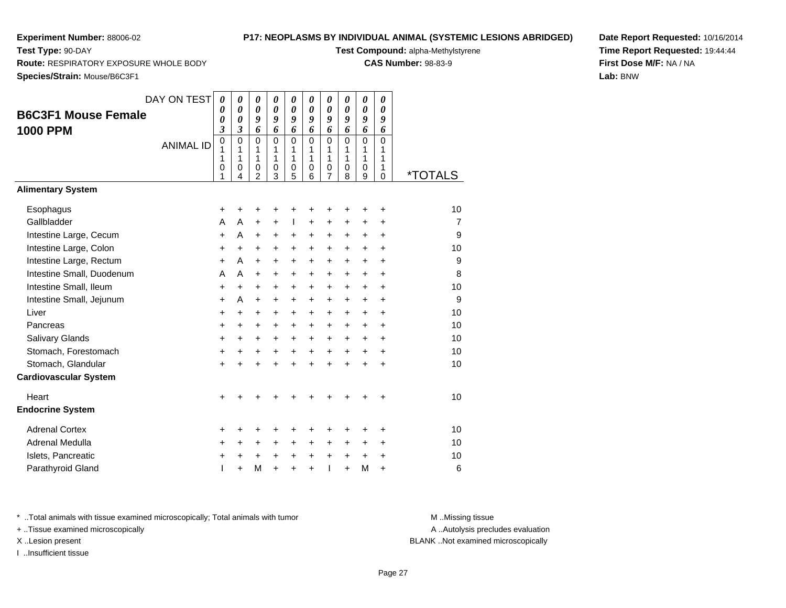**Test Type:** 90-DAY

## **P17: NEOPLASMS BY INDIVIDUAL ANIMAL (SYSTEMIC LESIONS ABRIDGED)**

**Test Compound:** alpha-Methylstyrene

**CAS Number:** 98-83-9

**Species/Strain:** Mouse/B6C3F1

**Route:** RESPIRATORY EXPOSURE WHOLE BODY

| Species/Strain: Mouse/B6C3F1                       |                  |                       |                                                                       |                                      |                                      |                                                          |                              |                                               |                                                          |                       |                                        |                       |
|----------------------------------------------------|------------------|-----------------------|-----------------------------------------------------------------------|--------------------------------------|--------------------------------------|----------------------------------------------------------|------------------------------|-----------------------------------------------|----------------------------------------------------------|-----------------------|----------------------------------------|-----------------------|
| <b>B6C3F1 Mouse Female</b><br><b>1000 PPM</b>      | DAY ON TEST      | 0<br>0<br>0<br>3      | $\boldsymbol{\theta}$<br>$\boldsymbol{\theta}$<br>0<br>$\mathfrak{z}$ | 0<br>$\boldsymbol{\theta}$<br>9<br>6 | 0<br>$\boldsymbol{\theta}$<br>9<br>6 | $\boldsymbol{\theta}$<br>$\boldsymbol{\theta}$<br>9<br>6 | 0<br>0<br>9<br>6             | 0<br>$\boldsymbol{\theta}$<br>9<br>6          | $\boldsymbol{\theta}$<br>$\boldsymbol{\theta}$<br>9<br>6 | 0<br>0<br>9<br>6      | 0<br>0<br>9<br>6                       |                       |
|                                                    | <b>ANIMAL ID</b> | 0<br>1<br>1<br>0<br>1 | 0<br>1<br>1<br>0<br>4                                                 | 0<br>1<br>1<br>0<br>$\overline{2}$   | 0<br>1<br>1<br>0<br>3                | $\mathbf 0$<br>1<br>1<br>0<br>5                          | $\Omega$<br>1<br>1<br>0<br>6 | $\mathbf{0}$<br>1<br>1<br>0<br>$\overline{7}$ | $\mathbf 0$<br>1<br>1<br>0<br>8                          | 0<br>1<br>1<br>0<br>9 | $\Omega$<br>1<br>1<br>1<br>$\mathsf 0$ | <i><b>*TOTALS</b></i> |
| <b>Alimentary System</b>                           |                  |                       |                                                                       |                                      |                                      |                                                          |                              |                                               |                                                          |                       |                                        |                       |
| Esophagus                                          |                  | +                     | +                                                                     | +                                    | +                                    |                                                          | +                            | +                                             |                                                          | +                     | +                                      | 10                    |
| Gallbladder                                        |                  | Α                     | Α                                                                     | +                                    | +                                    | $\mathbf{I}$                                             | +                            | +                                             | +                                                        | +                     | +                                      | 7                     |
| Intestine Large, Cecum                             |                  | $\ddot{}$             | A                                                                     | $\ddot{}$                            | +                                    | +                                                        | +                            | +                                             | +                                                        | +                     | $\ddot{}$                              | 9                     |
| Intestine Large, Colon                             |                  | +                     | +                                                                     | $\ddot{}$                            | +                                    | $\ddot{}$                                                | +                            | $\ddot{}$                                     | $\ddot{}$                                                | $\ddot{}$             | $\ddot{}$                              | 10                    |
| Intestine Large, Rectum                            |                  | $\ddot{}$             | A                                                                     | $\ddot{}$                            | +                                    | $\ddot{}$                                                | +                            | $\ddot{}$                                     | $\ddot{}$                                                | $\ddot{}$             | $\ddot{}$                              | 9                     |
| Intestine Small, Duodenum                          |                  | A                     | A                                                                     | $\ddot{}$                            | +                                    | $\ddot{}$                                                | +                            | $\ddot{}$                                     | $\ddot{}$                                                | $\ddot{}$             | $\ddot{}$                              | 8                     |
| Intestine Small, Ileum                             |                  | +                     | +                                                                     | +                                    | +                                    | $\ddot{}$                                                | +                            | +                                             | +                                                        | $\ddot{}$             | +                                      | 10                    |
| Intestine Small, Jejunum                           |                  | $\ddot{}$             | A                                                                     | $\ddot{}$                            | +                                    | +                                                        | +                            | +                                             | $\ddot{}$                                                | +                     | +                                      | 9                     |
| Liver                                              |                  | +                     | $\ddot{}$                                                             | +                                    | +                                    | +                                                        | +                            | +                                             | $\ddot{}$                                                | $\ddot{}$             | +                                      | 10                    |
| Pancreas                                           |                  | +                     | $\ddot{}$                                                             | +                                    | $\ddot{}$                            | $\ddot{}$                                                | +                            | $\ddot{}$                                     | $\ddot{}$                                                | +                     | $\ddot{}$                              | 10                    |
| Salivary Glands                                    |                  | $\ddot{}$             | $\ddot{}$                                                             | $\ddot{}$                            | $\ddot{}$                            | $\ddot{}$                                                | $\ddot{}$                    | $\ddot{}$                                     | $\ddot{}$                                                | $\ddot{}$             | $\ddot{}$                              | 10                    |
| Stomach, Forestomach                               |                  | +                     | $\ddot{}$                                                             | $\ddot{}$                            | $\ddot{}$                            | +                                                        | +                            | +                                             | $\ddot{}$                                                | $\ddot{}$             | $\ddot{}$                              | 10                    |
| Stomach, Glandular<br><b>Cardiovascular System</b> |                  | $\ddot{}$             | +                                                                     | $\ddot{}$                            | $\ddot{}$                            | $\ddot{}$                                                | $\ddot{}$                    | ÷                                             |                                                          | $\ddot{}$             | $\ddot{}$                              | 10                    |
| Heart                                              |                  | +                     |                                                                       |                                      |                                      |                                                          | +                            | +                                             |                                                          | +                     | $\ddot{}$                              | 10                    |
| <b>Endocrine System</b>                            |                  |                       |                                                                       |                                      |                                      |                                                          |                              |                                               |                                                          |                       |                                        |                       |
| <b>Adrenal Cortex</b>                              |                  | +                     | +                                                                     | +                                    | +                                    |                                                          | +                            | +                                             | +                                                        | +                     | +                                      | 10                    |
| Adrenal Medulla                                    |                  | +                     | +                                                                     | +                                    | +                                    | +                                                        | +                            | $\ddot{}$                                     | +                                                        | $\ddot{}$             | $\ddot{}$                              | 10                    |
| Islets, Pancreatic<br>Parathyroid Gland            |                  | +<br>T                | +<br>$\ddot{}$                                                        | +<br>M                               | $\pm$<br>$\ddot{}$                   | $\ddot{}$<br>$\ddot{}$                                   | +<br>$\ddot{}$               | $\ddot{}$<br>ı                                | $\ddot{}$<br>$\ddot{}$                                   | +<br>M                | $\pm$<br>$\ddot{}$                     | 10<br>6               |
|                                                    |                  |                       |                                                                       |                                      |                                      |                                                          |                              |                                               |                                                          |                       |                                        |                       |

\* ..Total animals with tissue examined microscopically; Total animals with tumor **M** . Missing tissue M ..Missing tissue

+ ..Tissue examined microscopically

I ..Insufficient tissue

**Date Report Requested:** 10/16/2014**Time Report Requested:** 19:44:44**First Dose M/F:** NA / NA**Lab:** BNW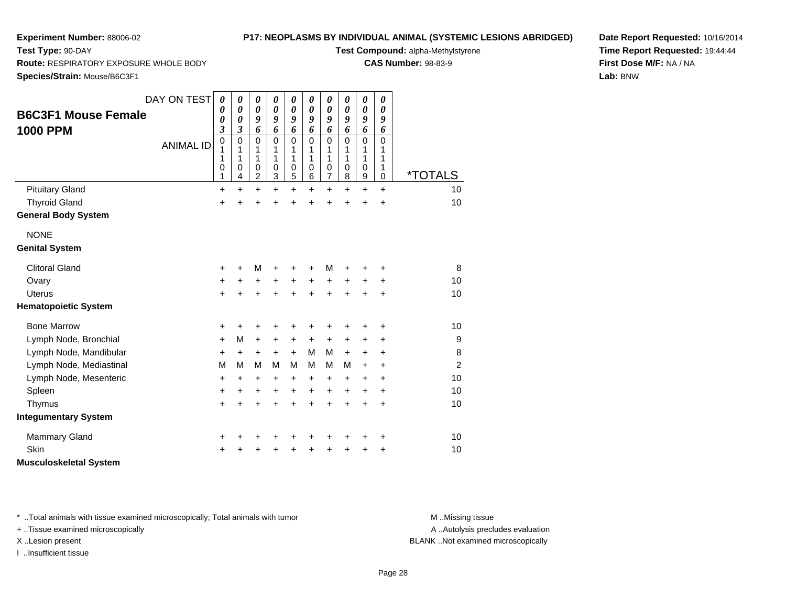**Test Type:** 90-DAY

## **P17: NEOPLASMS BY INDIVIDUAL ANIMAL (SYSTEMIC LESIONS ABRIDGED)**

**Test Compound:** alpha-Methylstyrene

**CAS Number:** 98-83-9

**Date Report Requested:** 10/16/2014**Time Report Requested:** 19:44:44**First Dose M/F:** NA / NA**Lab:** BNW

**Route:** RESPIRATORY EXPOSURE WHOLE BODY

**Species/Strain:** Mouse/B6C3F1

|                               | DAY ON TEST      | 0                       | 0                     | 0                     | $\boldsymbol{\theta}$ | 0                     | $\pmb{\theta}$   | 0                   | 0                     | 0                     | $\pmb{\theta}$   |                       |
|-------------------------------|------------------|-------------------------|-----------------------|-----------------------|-----------------------|-----------------------|------------------|---------------------|-----------------------|-----------------------|------------------|-----------------------|
| <b>B6C3F1 Mouse Female</b>    |                  | 0                       | $\boldsymbol{\theta}$ | $\boldsymbol{\theta}$ | $\boldsymbol{\theta}$ | $\boldsymbol{\theta}$ | 0                | 0                   | $\boldsymbol{\theta}$ | $\boldsymbol{\theta}$ | 0                |                       |
|                               |                  | 0                       | $\boldsymbol{\theta}$ | 9                     | 9                     | 9                     | 9                | 9                   | 9                     | 9                     | 9                |                       |
| <b>1000 PPM</b>               |                  | $\overline{\mathbf{3}}$ | 3                     | 6                     | 6                     | 6<br>$\mathbf 0$      | 6                | 6                   | 6<br>$\Omega$         | 6<br>$\mathbf 0$      | 6                |                       |
|                               | <b>ANIMAL ID</b> | $\overline{0}$<br>1     | 0<br>1                | $\Omega$<br>1         | $\Omega$<br>1         | 1                     | $\mathbf 0$<br>1 | 0<br>1              | 1                     | 1                     | $\mathbf 0$<br>1 |                       |
|                               |                  | 1                       | 1                     | 1                     | 1                     | 1                     | 1                | 1                   | 1                     | 1                     | 1                |                       |
|                               |                  | 0<br>1                  | 0<br>4                | 0<br>$\overline{c}$   | 0<br>3                | 0<br>5                | 0<br>6           | 0<br>$\overline{7}$ | 0<br>8                | 0<br>9                | 1<br>$\mathbf 0$ | <i><b>*TOTALS</b></i> |
| <b>Pituitary Gland</b>        |                  | +                       | +                     | $\ddot{}$             | $\ddot{}$             | $\ddot{}$             | +                | $\ddot{}$           | $\ddot{}$             | $\ddot{}$             | $+$              | 10                    |
| <b>Thyroid Gland</b>          |                  | $\ddot{}$               | $\ddot{}$             | $\ddot{}$             | ÷                     | $\ddot{}$             | $\ddot{}$        | $\ddot{}$           | $\ddot{}$             | $\ddot{}$             | $\ddot{}$        | 10                    |
| <b>General Body System</b>    |                  |                         |                       |                       |                       |                       |                  |                     |                       |                       |                  |                       |
| <b>NONE</b>                   |                  |                         |                       |                       |                       |                       |                  |                     |                       |                       |                  |                       |
|                               |                  |                         |                       |                       |                       |                       |                  |                     |                       |                       |                  |                       |
| <b>Genital System</b>         |                  |                         |                       |                       |                       |                       |                  |                     |                       |                       |                  |                       |
| <b>Clitoral Gland</b>         |                  | +                       | +                     | M                     |                       |                       | ٠                | М                   | +                     | +                     | ٠                | 8                     |
| Ovary                         |                  | +                       | $\ddot{}$             | +                     | $\ddot{}$             | $\ddot{}$             | $\ddot{}$        | $\ddot{}$           | $\ddot{}$             | +                     | $\ddot{}$        | 10                    |
| <b>Uterus</b>                 |                  | $\ddot{}$               |                       | $\ddot{}$             |                       | $\ddot{}$             | $\ddot{}$        | $\ddot{}$           | $\ddot{}$             | $\ddot{}$             | $\ddot{}$        | 10                    |
| <b>Hematopoietic System</b>   |                  |                         |                       |                       |                       |                       |                  |                     |                       |                       |                  |                       |
| <b>Bone Marrow</b>            |                  | +                       | +                     | +                     | +                     | +                     | +                | +                   | +                     | +                     | +                | 10                    |
| Lymph Node, Bronchial         |                  | +                       | M                     | $\ddot{}$             | $\ddot{}$             | $\ddot{}$             | +                | $\ddot{}$           | +                     | +                     | $\ddot{}$        | 9                     |
| Lymph Node, Mandibular        |                  | $\ddot{}$               | $\ddot{}$             | $\ddot{}$             | $+$                   | $+$                   | м                | м                   | $+$                   | $\ddot{}$             | $\ddot{}$        | 8                     |
| Lymph Node, Mediastinal       |                  | M                       | М                     | M                     | м                     | м                     | м                | м                   | м                     | $\ddot{}$             | $\ddot{}$        | $\overline{2}$        |
| Lymph Node, Mesenteric        |                  | +                       | $\ddot{}$             | $\ddot{}$             | $\ddot{}$             | $\ddot{}$             | $\ddot{}$        | $\ddot{}$           | +                     | $\ddot{}$             | $\ddot{}$        | 10                    |
| Spleen                        |                  | +                       | +                     | $\ddot{}$             | $\ddot{}$             | $\ddot{}$             | $\ddot{}$        | $\ddot{}$           | $\ddot{}$             | $\ddot{}$             | $\ddot{}$        | 10                    |
| Thymus                        |                  | $\ddot{}$               | $\ddot{}$             | $\ddot{}$             | $\ddot{}$             | $\ddot{}$             | $\ddot{}$        | $\ddot{}$           | $\ddot{}$             | $\ddot{}$             | $+$              | 10                    |
| <b>Integumentary System</b>   |                  |                         |                       |                       |                       |                       |                  |                     |                       |                       |                  |                       |
| <b>Mammary Gland</b>          |                  | +                       |                       | +                     |                       | +                     |                  | +                   | +                     | +                     | +                | 10                    |
| Skin                          |                  | +                       |                       |                       |                       | +                     |                  | +                   | +                     |                       |                  | 10                    |
|                               |                  |                         |                       |                       |                       |                       |                  |                     |                       | +                     | +                |                       |
| <b>Musculoskeletal System</b> |                  |                         |                       |                       |                       |                       |                  |                     |                       |                       |                  |                       |

\* ..Total animals with tissue examined microscopically; Total animals with tumor **M** . Missing tissue M ..Missing tissue

+ ..Tissue examined microscopically

I ..Insufficient tissue

A ..Autolysis precludes evaluation

X ..Lesion present BLANK ..Not examined microscopically